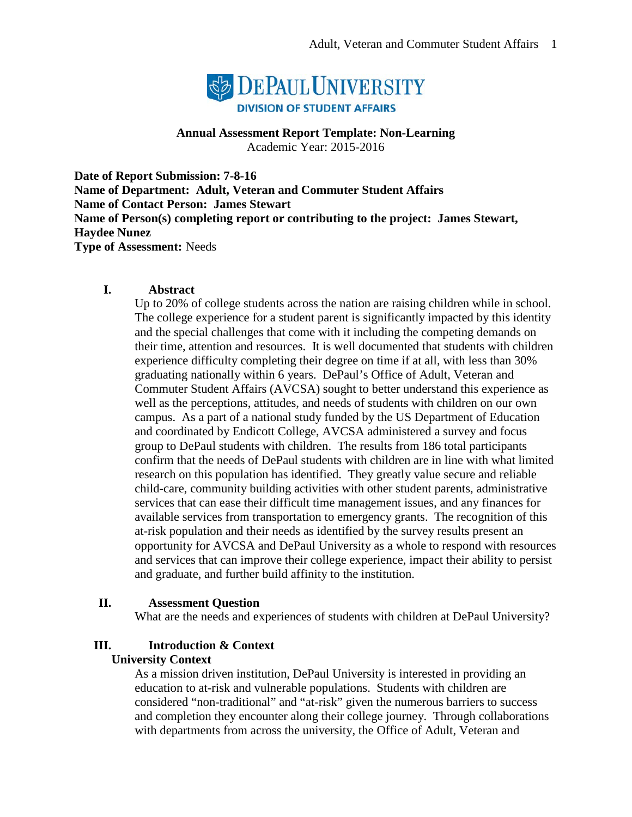

#### **Annual Assessment Report Template: Non-Learning** Academic Year: 2015-2016

**Date of Report Submission: 7-8-16 Name of Department: Adult, Veteran and Commuter Student Affairs Name of Contact Person: James Stewart Name of Person(s) completing report or contributing to the project: James Stewart, Haydee Nunez Type of Assessment:** Needs

### **I. Abstract**

Up to 20% of college students across the nation are raising children while in school. The college experience for a student parent is significantly impacted by this identity and the special challenges that come with it including the competing demands on their time, attention and resources. It is well documented that students with children experience difficulty completing their degree on time if at all, with less than 30% graduating nationally within 6 years. DePaul's Office of Adult, Veteran and Commuter Student Affairs (AVCSA) sought to better understand this experience as well as the perceptions, attitudes, and needs of students with children on our own campus. As a part of a national study funded by the US Department of Education and coordinated by Endicott College, AVCSA administered a survey and focus group to DePaul students with children. The results from 186 total participants confirm that the needs of DePaul students with children are in line with what limited research on this population has identified. They greatly value secure and reliable child-care, community building activities with other student parents, administrative services that can ease their difficult time management issues, and any finances for available services from transportation to emergency grants. The recognition of this at-risk population and their needs as identified by the survey results present an opportunity for AVCSA and DePaul University as a whole to respond with resources and services that can improve their college experience, impact their ability to persist and graduate, and further build affinity to the institution.

### **II. Assessment Question**

What are the needs and experiences of students with children at DePaul University?

### **III. Introduction & Context**

#### **University Context**

As a mission driven institution, DePaul University is interested in providing an education to at-risk and vulnerable populations. Students with children are considered "non-traditional" and "at-risk" given the numerous barriers to success and completion they encounter along their college journey. Through collaborations with departments from across the university, the Office of Adult, Veteran and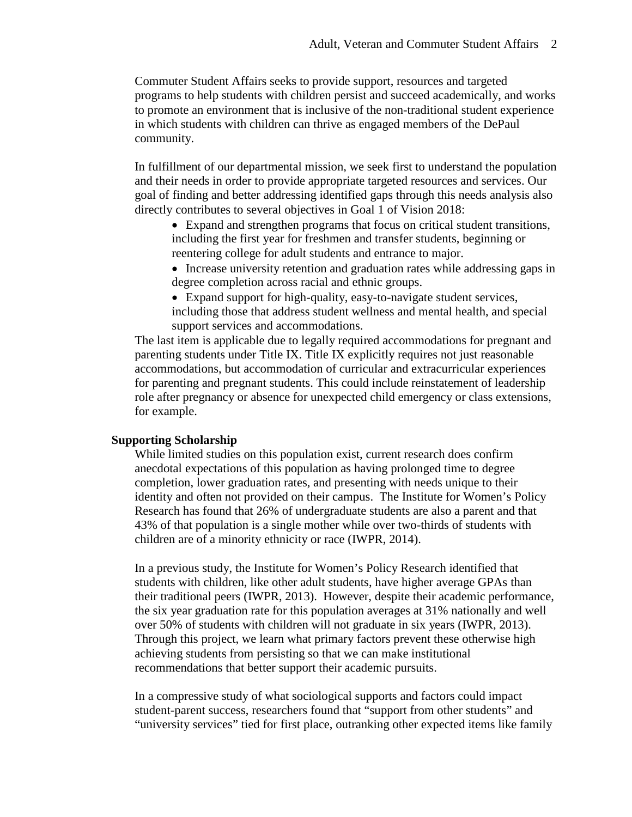Commuter Student Affairs seeks to provide support, resources and targeted programs to help students with children persist and succeed academically, and works to promote an environment that is inclusive of the non-traditional student experience in which students with children can thrive as engaged members of the DePaul community.

In fulfillment of our departmental mission, we seek first to understand the population and their needs in order to provide appropriate targeted resources and services. Our goal of finding and better addressing identified gaps through this needs analysis also directly contributes to several objectives in Goal 1 of Vision 2018:

• Expand and strengthen programs that focus on critical student transitions, including the first year for freshmen and transfer students, beginning or reentering college for adult students and entrance to major.

• Increase university retention and graduation rates while addressing gaps in degree completion across racial and ethnic groups.

• Expand support for high-quality, easy-to-navigate student services, including those that address student wellness and mental health, and special support services and accommodations.

The last item is applicable due to legally required accommodations for pregnant and parenting students under Title IX. Title IX explicitly requires not just reasonable accommodations, but accommodation of curricular and extracurricular experiences for parenting and pregnant students. This could include reinstatement of leadership role after pregnancy or absence for unexpected child emergency or class extensions, for example.

#### **Supporting Scholarship**

While limited studies on this population exist, current research does confirm anecdotal expectations of this population as having prolonged time to degree completion, lower graduation rates, and presenting with needs unique to their identity and often not provided on their campus. The Institute for Women's Policy Research has found that 26% of undergraduate students are also a parent and that 43% of that population is a single mother while over two-thirds of students with children are of a minority ethnicity or race (IWPR, 2014).

In a previous study, the Institute for Women's Policy Research identified that students with children, like other adult students, have higher average GPAs than their traditional peers (IWPR, 2013). However, despite their academic performance, the six year graduation rate for this population averages at 31% nationally and well over 50% of students with children will not graduate in six years (IWPR, 2013). Through this project, we learn what primary factors prevent these otherwise high achieving students from persisting so that we can make institutional recommendations that better support their academic pursuits.

In a compressive study of what sociological supports and factors could impact student-parent success, researchers found that "support from other students" and "university services" tied for first place, outranking other expected items like family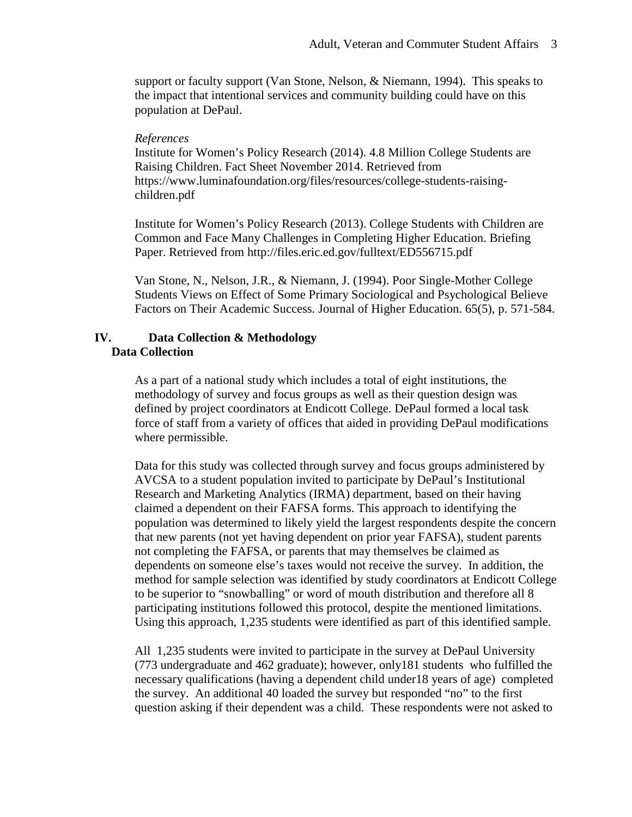support or faculty support (Van Stone, Nelson, & Niemann, 1994). This speaks to the impact that intentional services and community building could have on this population at DePaul.

#### *References*

Institute for Women's Policy Research (2014). 4.8 Million College Students are Raising Children. Fact Sheet November 2014. Retrieved from https://www.luminafoundation.org/files/resources/college-students-raisingchildren.pdf

Institute for Women's Policy Research (2013). College Students with Children are Common and Face Many Challenges in Completing Higher Education. Briefing Paper. Retrieved from http://files.eric.ed.gov/fulltext/ED556715.pdf

Van Stone, N., Nelson, J.R., & Niemann, J. (1994). Poor Single-Mother College Students Views on Effect of Some Primary Sociological and Psychological Believe Factors on Their Academic Success. Journal of Higher Education. 65(5), p. 571-584.

### **IV. Data Collection & Methodology Data Collection**

As a part of a national study which includes a total of eight institutions, the methodology of survey and focus groups as well as their question design was defined by project coordinators at Endicott College. DePaul formed a local task force of staff from a variety of offices that aided in providing DePaul modifications where permissible.

Data for this study was collected through survey and focus groups administered by AVCSA to a student population invited to participate by DePaul's Institutional Research and Marketing Analytics (IRMA) department, based on their having claimed a dependent on their FAFSA forms. This approach to identifying the population was determined to likely yield the largest respondents despite the concern that new parents (not yet having dependent on prior year FAFSA), student parents not completing the FAFSA, or parents that may themselves be claimed as dependents on someone else's taxes would not receive the survey. In addition, the method for sample selection was identified by study coordinators at Endicott College to be superior to "snowballing" or word of mouth distribution and therefore all 8 participating institutions followed this protocol, despite the mentioned limitations. Using this approach, 1,235 students were identified as part of this identified sample.

All 1,235 students were invited to participate in the survey at DePaul University (773 undergraduate and 462 graduate); however, only181 students who fulfilled the necessary qualifications (having a dependent child under18 years of age) completed the survey. An additional 40 loaded the survey but responded "no" to the first question asking if their dependent was a child. These respondents were not asked to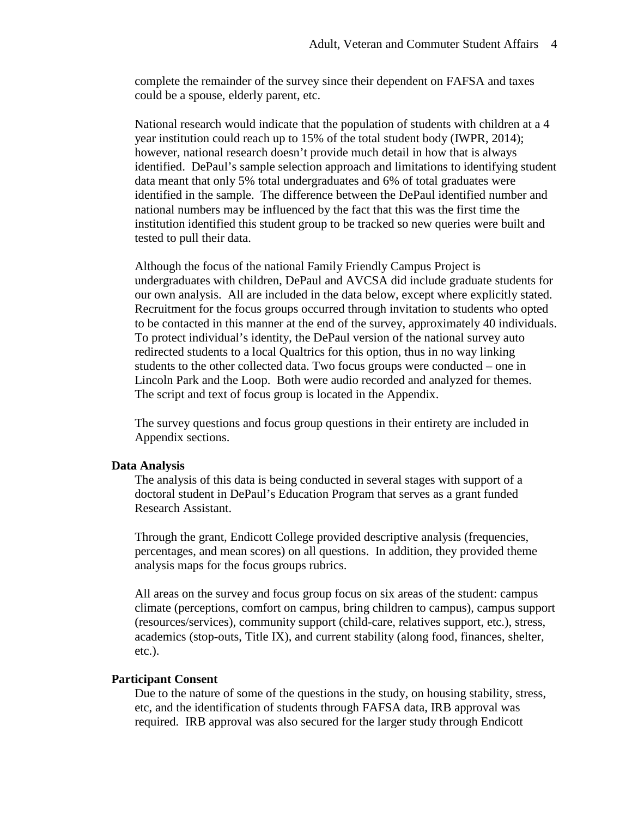complete the remainder of the survey since their dependent on FAFSA and taxes could be a spouse, elderly parent, etc.

National research would indicate that the population of students with children at a 4 year institution could reach up to 15% of the total student body (IWPR, 2014); however, national research doesn't provide much detail in how that is always identified. DePaul's sample selection approach and limitations to identifying student data meant that only 5% total undergraduates and 6% of total graduates were identified in the sample. The difference between the DePaul identified number and national numbers may be influenced by the fact that this was the first time the institution identified this student group to be tracked so new queries were built and tested to pull their data.

Although the focus of the national Family Friendly Campus Project is undergraduates with children, DePaul and AVCSA did include graduate students for our own analysis. All are included in the data below, except where explicitly stated. Recruitment for the focus groups occurred through invitation to students who opted to be contacted in this manner at the end of the survey, approximately 40 individuals. To protect individual's identity, the DePaul version of the national survey auto redirected students to a local Qualtrics for this option, thus in no way linking students to the other collected data. Two focus groups were conducted – one in Lincoln Park and the Loop. Both were audio recorded and analyzed for themes. The script and text of focus group is located in the Appendix.

The survey questions and focus group questions in their entirety are included in Appendix sections.

#### **Data Analysis**

The analysis of this data is being conducted in several stages with support of a doctoral student in DePaul's Education Program that serves as a grant funded Research Assistant.

Through the grant, Endicott College provided descriptive analysis (frequencies, percentages, and mean scores) on all questions. In addition, they provided theme analysis maps for the focus groups rubrics.

All areas on the survey and focus group focus on six areas of the student: campus climate (perceptions, comfort on campus, bring children to campus), campus support (resources/services), community support (child-care, relatives support, etc.), stress, academics (stop-outs, Title IX), and current stability (along food, finances, shelter, etc.).

#### **Participant Consent**

Due to the nature of some of the questions in the study, on housing stability, stress, etc, and the identification of students through FAFSA data, IRB approval was required. IRB approval was also secured for the larger study through Endicott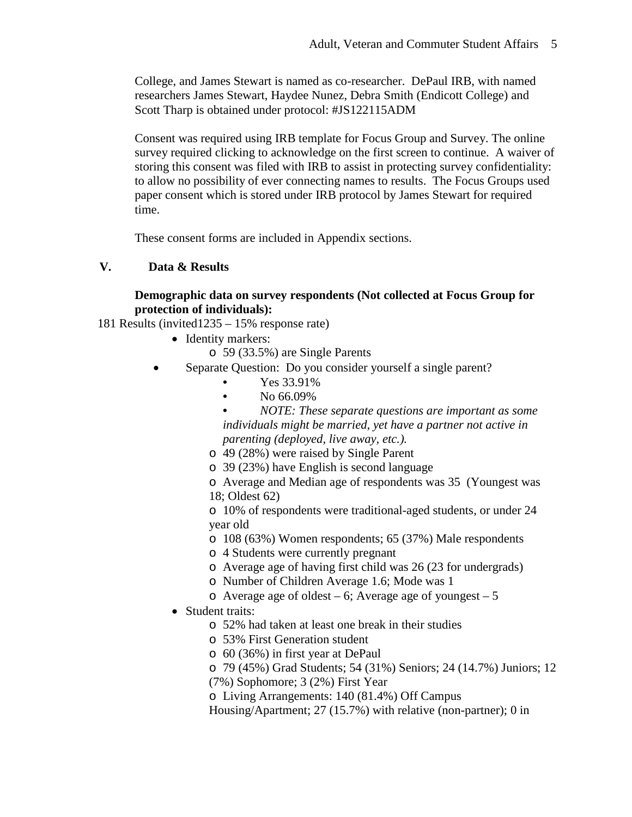College, and James Stewart is named as co-researcher. DePaul IRB, with named researchers James Stewart, Haydee Nunez, Debra Smith (Endicott College) and Scott Tharp is obtained under protocol: #JS122115ADM

Consent was required using IRB template for Focus Group and Survey. The online survey required clicking to acknowledge on the first screen to continue. A waiver of storing this consent was filed with IRB to assist in protecting survey confidentiality: to allow no possibility of ever connecting names to results. The Focus Groups used paper consent which is stored under IRB protocol by James Stewart for required time.

These consent forms are included in Appendix sections.

### **V. Data & Results**

### **Demographic data on survey respondents (Not collected at Focus Group for protection of individuals):**

- 181 Results (invited1235 15% response rate)
	- Identity markers:
		- o 59 (33.5%) are Single Parents
	- Separate Question: Do you consider yourself a single parent?
		- Yes 33.91%
		- No 66.09%

• *NOTE: These separate questions are important as some individuals might be married, yet have a partner not active in parenting (deployed, live away, etc.).* 

- o 49 (28%) were raised by Single Parent
- o 39 (23%) have English is second language

o Average and Median age of respondents was 35 (Youngest was 18; Oldest 62)

o 10% of respondents were traditional-aged students, or under 24 year old

- o 108 (63%) Women respondents; 65 (37%) Male respondents
- o 4 Students were currently pregnant
- o Average age of having first child was 26 (23 for undergrads)
- o Number of Children Average 1.6; Mode was 1
- o Average age of oldest 6; Average age of youngest 5
- Student traits:
	- o 52% had taken at least one break in their studies
	- o 53% First Generation student
	- o 60 (36%) in first year at DePaul
	- o 79 (45%) Grad Students; 54 (31%) Seniors; 24 (14.7%) Juniors; 12

(7%) Sophomore; 3 (2%) First Year

o Living Arrangements: 140 (81.4%) Off Campus

Housing/Apartment; 27 (15.7%) with relative (non-partner); 0 in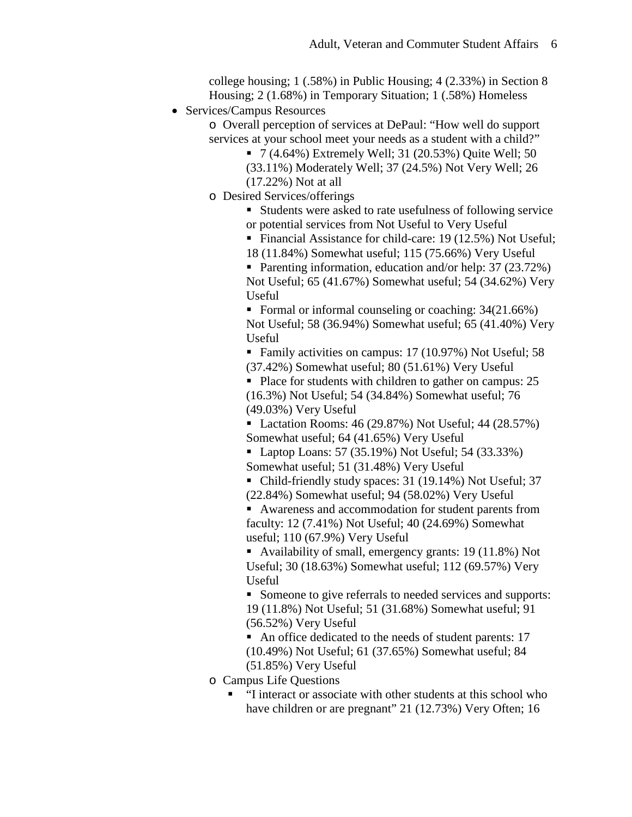college housing; 1 (.58%) in Public Housing; 4 (2.33%) in Section 8 Housing; 2 (1.68%) in Temporary Situation; 1 (.58%) Homeless

• Services/Campus Resources

o Overall perception of services at DePaul: "How well do support services at your school meet your needs as a student with a child?"

 $\blacksquare$  7 (4.64%) Extremely Well; 31 (20.53%) Quite Well; 50 (33.11%) Moderately Well; 37 (24.5%) Not Very Well; 26

(17.22%) Not at all

o Desired Services/offerings

 Students were asked to rate usefulness of following service or potential services from Not Useful to Very Useful

■ Financial Assistance for child-care: 19 (12.5%) Not Useful; 18 (11.84%) Somewhat useful; 115 (75.66%) Very Useful

Parenting information, education and/or help: 37 (23.72%) Not Useful; 65 (41.67%) Somewhat useful; 54 (34.62%) Very Useful

Formal or informal counseling or coaching:  $34(21.66%)$ Not Useful; 58 (36.94%) Somewhat useful; 65 (41.40%) Very Useful

• Family activities on campus: 17 (10.97%) Not Useful; 58 (37.42%) Somewhat useful; 80 (51.61%) Very Useful

Place for students with children to gather on campus: 25 (16.3%) Not Useful; 54 (34.84%) Somewhat useful; 76 (49.03%) Very Useful

■ Lactation Rooms: 46 (29.87%) Not Useful; 44 (28.57%) Somewhat useful; 64 (41.65%) Very Useful

 $\blacksquare$  Laptop Loans: 57 (35.19%) Not Useful; 54 (33.33%) Somewhat useful; 51 (31.48%) Very Useful

• Child-friendly study spaces: 31 (19.14%) Not Useful; 37

(22.84%) Somewhat useful; 94 (58.02%) Very Useful Awareness and accommodation for student parents from faculty: 12 (7.41%) Not Useful; 40 (24.69%) Somewhat

useful; 110 (67.9%) Very Useful

• Availability of small, emergency grants: 19 (11.8%) Not Useful; 30 (18.63%) Somewhat useful; 112 (69.57%) Very Useful

Someone to give referrals to needed services and supports: 19 (11.8%) Not Useful; 51 (31.68%) Somewhat useful; 91 (56.52%) Very Useful

An office dedicated to the needs of student parents: 17 (10.49%) Not Useful; 61 (37.65%) Somewhat useful; 84 (51.85%) Very Useful

o Campus Life Questions

 "I interact or associate with other students at this school who have children or are pregnant" 21 (12.73%) Very Often; 16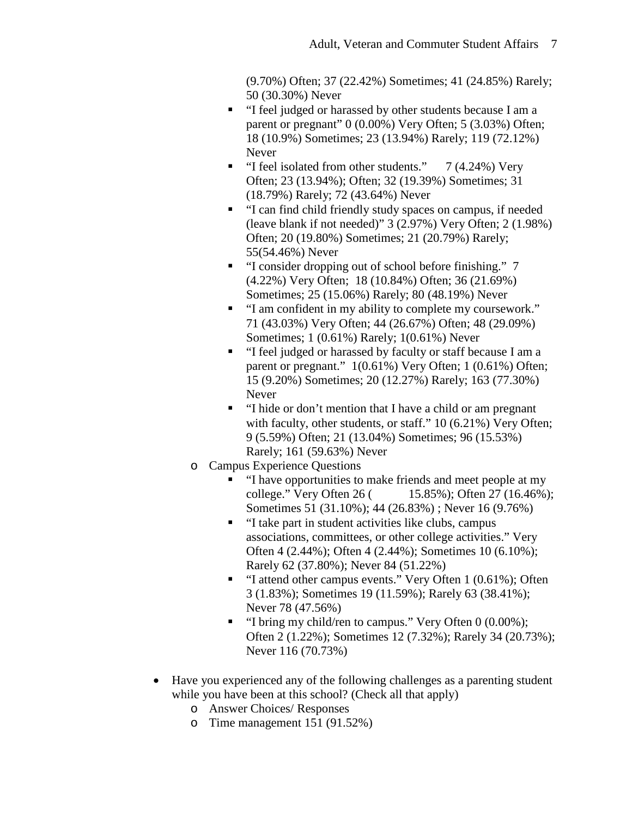(9.70%) Often; 37 (22.42%) Sometimes; 41 (24.85%) Rarely; 50 (30.30%) Never

- "I feel judged or harassed by other students because I am a parent or pregnant" 0 (0.00%) Very Often; 5 (3.03%) Often; 18 (10.9%) Sometimes; 23 (13.94%) Rarely; 119 (72.12%) Never
- $\blacksquare$  "I feel isolated from other students." 7 (4.24%) Very Often; 23 (13.94%); Often; 32 (19.39%) Sometimes; 31 (18.79%) Rarely; 72 (43.64%) Never
- "I can find child friendly study spaces on campus, if needed (leave blank if not needed)" 3 (2.97%) Very Often; 2 (1.98%) Often; 20 (19.80%) Sometimes; 21 (20.79%) Rarely; 55(54.46%) Never
- "I consider dropping out of school before finishing." 7 (4.22%) Very Often; 18 (10.84%) Often; 36 (21.69%) Sometimes; 25 (15.06%) Rarely; 80 (48.19%) Never
- "I am confident in my ability to complete my coursework." 71 (43.03%) Very Often; 44 (26.67%) Often; 48 (29.09%) Sometimes; 1 (0.61%) Rarely; 1(0.61%) Never
- "I feel judged or harassed by faculty or staff because I am a parent or pregnant."  $1(0.61\%)$  Very Often; 1 (0.61%) Often; 15 (9.20%) Sometimes; 20 (12.27%) Rarely; 163 (77.30%) Never
- "I hide or don't mention that I have a child or am pregnant with faculty, other students, or staff." 10 (6.21%) Very Often; 9 (5.59%) Often; 21 (13.04%) Sometimes; 96 (15.53%) Rarely; 161 (59.63%) Never
- o Campus Experience Questions
	- "I have opportunities to make friends and meet people at my college." Very Often 26 ( 15.85%); Often 27 (16.46%); Sometimes 51 (31.10%); 44 (26.83%) ; Never 16 (9.76%)
	- "I take part in student activities like clubs, campus associations, committees, or other college activities." Very Often 4 (2.44%); Often 4 (2.44%); Sometimes 10 (6.10%); Rarely 62 (37.80%); Never 84 (51.22%)
	- "I attend other campus events." Very Often 1 (0.61%); Often 3 (1.83%); Sometimes 19 (11.59%); Rarely 63 (38.41%); Never 78 (47.56%)
	- $\blacksquare$  "I bring my child/ren to campus." Very Often 0 (0.00%); Often 2 (1.22%); Sometimes 12 (7.32%); Rarely 34 (20.73%); Never 116 (70.73%)
- Have you experienced any of the following challenges as a parenting student while you have been at this school? (Check all that apply)
	- o Answer Choices/ Responses
	- o Time management 151 (91.52%)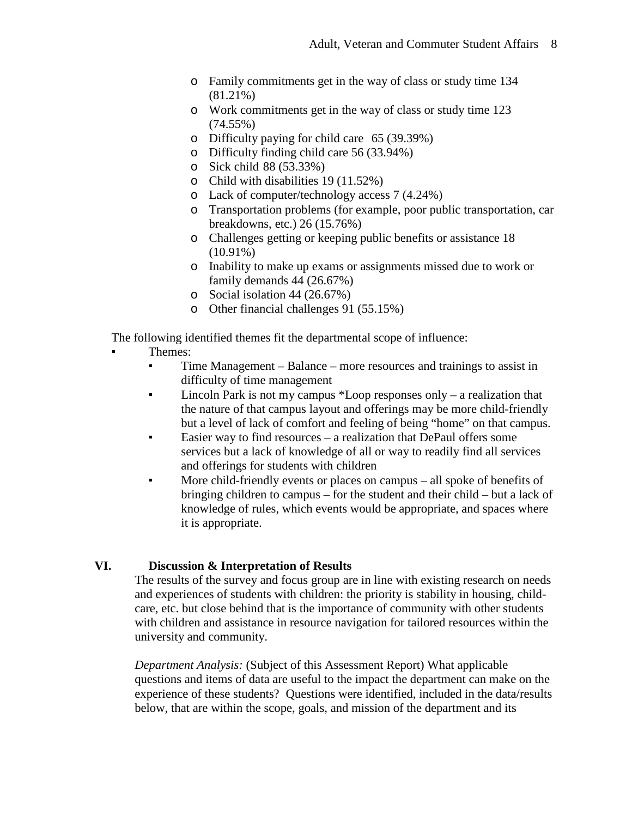- o Family commitments get in the way of class or study time 134 (81.21%)
- o Work commitments get in the way of class or study time 123 (74.55%)
- o Difficulty paying for child care 65 (39.39%)
- o Difficulty finding child care 56 (33.94%)
- o Sick child 88 (53.33%)
- o Child with disabilities 19 (11.52%)
- o Lack of computer/technology access 7 (4.24%)
- o Transportation problems (for example, poor public transportation, car breakdowns, etc.) 26 (15.76%)
- o Challenges getting or keeping public benefits or assistance 18  $(10.91\%)$
- o Inability to make up exams or assignments missed due to work or family demands 44 (26.67%)
- o Social isolation 44 (26.67%)
- o Other financial challenges 91 (55.15%)

The following identified themes fit the departmental scope of influence:

- Themes:
	- **•** Time Management Balance more resources and trainings to assist in difficulty of time management
	- Lincoln Park is not my campus \*Loop responses only a realization that the nature of that campus layout and offerings may be more child-friendly but a level of lack of comfort and feeling of being "home" on that campus.
	- Easier way to find resources a realization that DePaul offers some services but a lack of knowledge of all or way to readily find all services and offerings for students with children
	- More child-friendly events or places on campus all spoke of benefits of bringing children to campus – for the student and their child – but a lack of knowledge of rules, which events would be appropriate, and spaces where it is appropriate.

### **VI. Discussion & Interpretation of Results**

The results of the survey and focus group are in line with existing research on needs and experiences of students with children: the priority is stability in housing, childcare, etc. but close behind that is the importance of community with other students with children and assistance in resource navigation for tailored resources within the university and community.

*Department Analysis:* (Subject of this Assessment Report) What applicable questions and items of data are useful to the impact the department can make on the experience of these students? Questions were identified, included in the data/results below, that are within the scope, goals, and mission of the department and its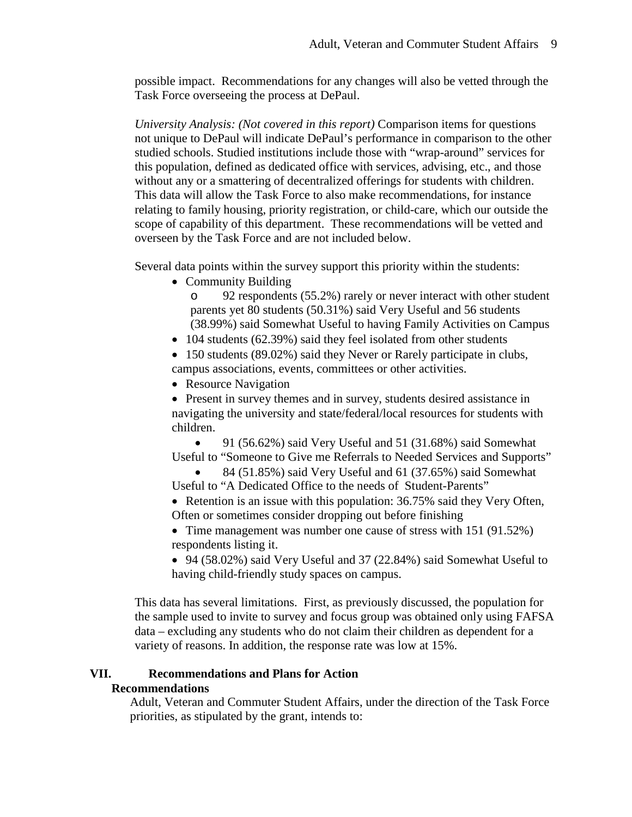possible impact. Recommendations for any changes will also be vetted through the Task Force overseeing the process at DePaul.

*University Analysis: (Not covered in this report)* Comparison items for questions not unique to DePaul will indicate DePaul's performance in comparison to the other studied schools. Studied institutions include those with "wrap-around" services for this population, defined as dedicated office with services, advising, etc., and those without any or a smattering of decentralized offerings for students with children. This data will allow the Task Force to also make recommendations, for instance relating to family housing, priority registration, or child-care, which our outside the scope of capability of this department. These recommendations will be vetted and overseen by the Task Force and are not included below.

Several data points within the survey support this priority within the students:

• Community Building

o 92 respondents (55.2%) rarely or never interact with other student parents yet 80 students (50.31%) said Very Useful and 56 students (38.99%) said Somewhat Useful to having Family Activities on Campus

• 104 students (62.39%) said they feel isolated from other students

• 150 students (89.02%) said they Never or Rarely participate in clubs, campus associations, events, committees or other activities.

• Resource Navigation

• Present in survey themes and in survey, students desired assistance in navigating the university and state/federal/local resources for students with children.

• 91 (56.62%) said Very Useful and 51 (31.68%) said Somewhat Useful to "Someone to Give me Referrals to Needed Services and Supports"

• 84 (51.85%) said Very Useful and 61 (37.65%) said Somewhat Useful to "A Dedicated Office to the needs of Student-Parents"

• Retention is an issue with this population: 36.75% said they Very Often, Often or sometimes consider dropping out before finishing

• Time management was number one cause of stress with 151 (91.52%) respondents listing it.

• 94 (58.02%) said Very Useful and 37 (22.84%) said Somewhat Useful to having child-friendly study spaces on campus.

This data has several limitations. First, as previously discussed, the population for the sample used to invite to survey and focus group was obtained only using FAFSA data – excluding any students who do not claim their children as dependent for a variety of reasons. In addition, the response rate was low at 15%.

### **VII. Recommendations and Plans for Action**

### **Recommendations**

Adult, Veteran and Commuter Student Affairs, under the direction of the Task Force priorities, as stipulated by the grant, intends to: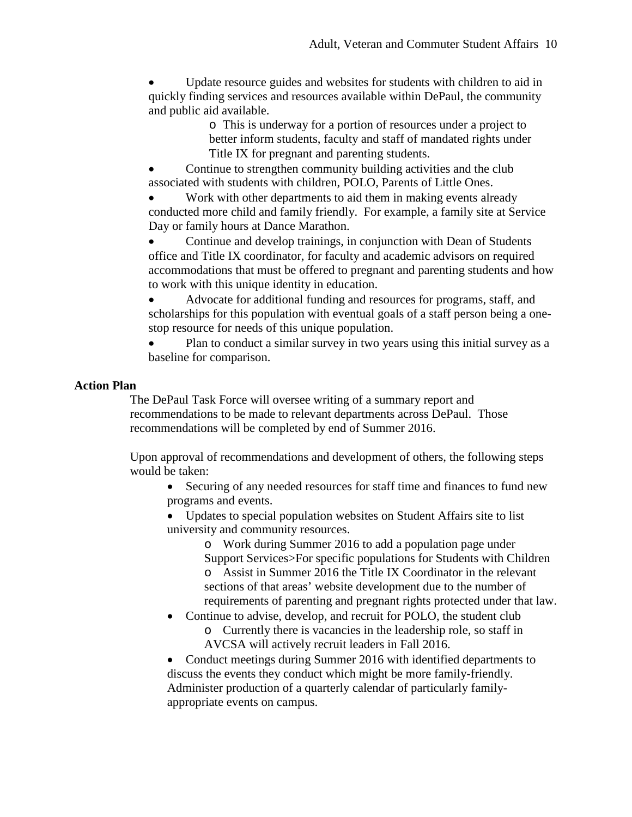• Update resource guides and websites for students with children to aid in quickly finding services and resources available within DePaul, the community and public aid available.

> o This is underway for a portion of resources under a project to better inform students, faculty and staff of mandated rights under Title IX for pregnant and parenting students.

Continue to strengthen community building activities and the club associated with students with children, POLO, Parents of Little Ones.

Work with other departments to aid them in making events already conducted more child and family friendly. For example, a family site at Service Day or family hours at Dance Marathon.

• Continue and develop trainings, in conjunction with Dean of Students office and Title IX coordinator, for faculty and academic advisors on required accommodations that must be offered to pregnant and parenting students and how to work with this unique identity in education.

• Advocate for additional funding and resources for programs, staff, and scholarships for this population with eventual goals of a staff person being a onestop resource for needs of this unique population.

• Plan to conduct a similar survey in two years using this initial survey as a baseline for comparison.

### **Action Plan**

The DePaul Task Force will oversee writing of a summary report and recommendations to be made to relevant departments across DePaul. Those recommendations will be completed by end of Summer 2016.

Upon approval of recommendations and development of others, the following steps would be taken:

• Securing of any needed resources for staff time and finances to fund new programs and events.

• Updates to special population websites on Student Affairs site to list university and community resources.

o Work during Summer 2016 to add a population page under Support Services>For specific populations for Students with Children o Assist in Summer 2016 the Title IX Coordinator in the relevant sections of that areas' website development due to the number of requirements of parenting and pregnant rights protected under that law.

• Continue to advise, develop, and recruit for POLO, the student club o Currently there is vacancies in the leadership role, so staff in AVCSA will actively recruit leaders in Fall 2016.

• Conduct meetings during Summer 2016 with identified departments to discuss the events they conduct which might be more family-friendly. Administer production of a quarterly calendar of particularly familyappropriate events on campus.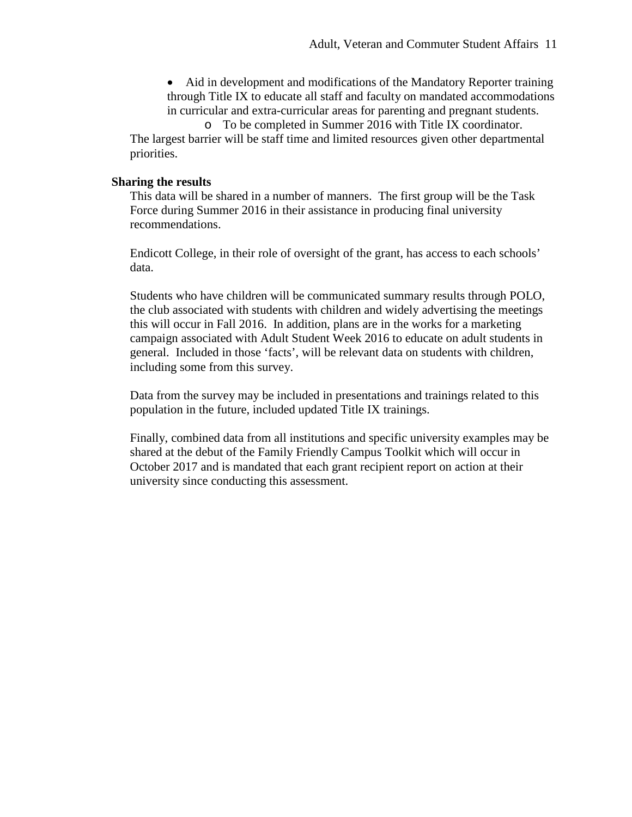• Aid in development and modifications of the Mandatory Reporter training through Title IX to educate all staff and faculty on mandated accommodations in curricular and extra-curricular areas for parenting and pregnant students.

o To be completed in Summer 2016 with Title IX coordinator. The largest barrier will be staff time and limited resources given other departmental priorities.

### **Sharing the results**

This data will be shared in a number of manners. The first group will be the Task Force during Summer 2016 in their assistance in producing final university recommendations.

Endicott College, in their role of oversight of the grant, has access to each schools' data.

Students who have children will be communicated summary results through POLO, the club associated with students with children and widely advertising the meetings this will occur in Fall 2016. In addition, plans are in the works for a marketing campaign associated with Adult Student Week 2016 to educate on adult students in general. Included in those 'facts', will be relevant data on students with children, including some from this survey.

Data from the survey may be included in presentations and trainings related to this population in the future, included updated Title IX trainings.

Finally, combined data from all institutions and specific university examples may be shared at the debut of the Family Friendly Campus Toolkit which will occur in October 2017 and is mandated that each grant recipient report on action at their university since conducting this assessment.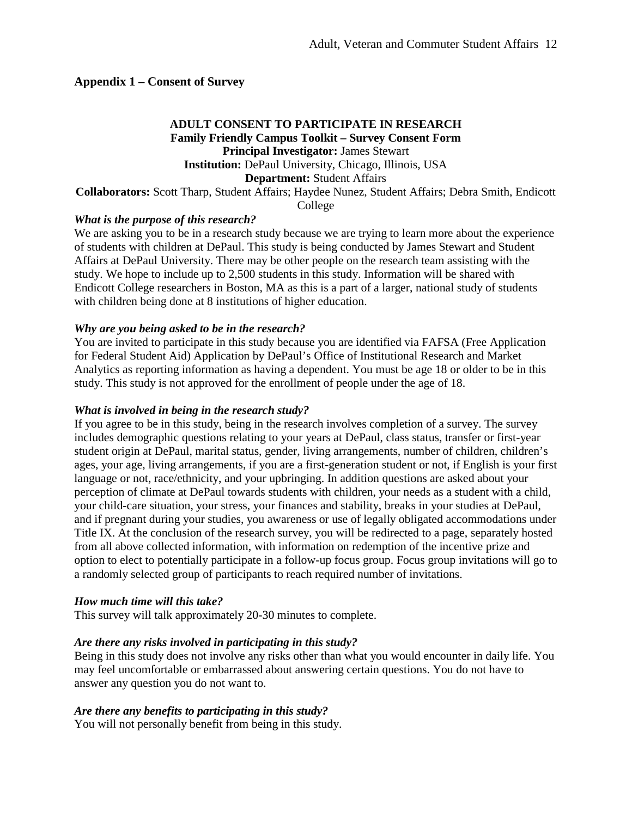### **Appendix 1 – Consent of Survey**

### **ADULT CONSENT TO PARTICIPATE IN RESEARCH Family Friendly Campus Toolkit – Survey Consent Form Principal Investigator:** James Stewart **Institution:** DePaul University, Chicago, Illinois, USA **Department:** Student Affairs **Collaborators:** Scott Tharp, Student Affairs; Haydee Nunez, Student Affairs; Debra Smith, Endicott College

### *What is the purpose of this research?*

We are asking you to be in a research study because we are trying to learn more about the experience of students with children at DePaul. This study is being conducted by James Stewart and Student Affairs at DePaul University. There may be other people on the research team assisting with the study. We hope to include up to 2,500 students in this study. Information will be shared with Endicott College researchers in Boston, MA as this is a part of a larger, national study of students with children being done at 8 institutions of higher education.

#### *Why are you being asked to be in the research?*

You are invited to participate in this study because you are identified via FAFSA (Free Application for Federal Student Aid) Application by DePaul's Office of Institutional Research and Market Analytics as reporting information as having a dependent. You must be age 18 or older to be in this study. This study is not approved for the enrollment of people under the age of 18.

#### *What is involved in being in the research study?*

If you agree to be in this study, being in the research involves completion of a survey. The survey includes demographic questions relating to your years at DePaul, class status, transfer or first-year student origin at DePaul, marital status, gender, living arrangements, number of children, children's ages, your age, living arrangements, if you are a first-generation student or not, if English is your first language or not, race/ethnicity, and your upbringing. In addition questions are asked about your perception of climate at DePaul towards students with children, your needs as a student with a child, your child-care situation, your stress, your finances and stability, breaks in your studies at DePaul, and if pregnant during your studies, you awareness or use of legally obligated accommodations under Title IX. At the conclusion of the research survey, you will be redirected to a page, separately hosted from all above collected information, with information on redemption of the incentive prize and option to elect to potentially participate in a follow-up focus group. Focus group invitations will go to a randomly selected group of participants to reach required number of invitations.

### *How much time will this take?*

This survey will talk approximately 20-30 minutes to complete.

#### *Are there any risks involved in participating in this study?*

Being in this study does not involve any risks other than what you would encounter in daily life. You may feel uncomfortable or embarrassed about answering certain questions. You do not have to answer any question you do not want to.

#### *Are there any benefits to participating in this study?*

You will not personally benefit from being in this study.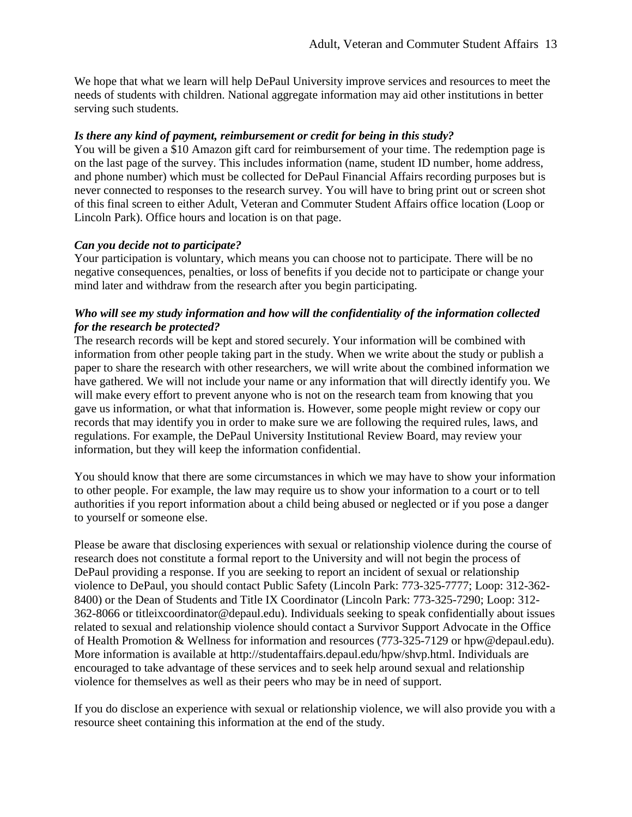We hope that what we learn will help DePaul University improve services and resources to meet the needs of students with children. National aggregate information may aid other institutions in better serving such students.

### *Is there any kind of payment, reimbursement or credit for being in this study?*

You will be given a \$10 Amazon gift card for reimbursement of your time. The redemption page is on the last page of the survey. This includes information (name, student ID number, home address, and phone number) which must be collected for DePaul Financial Affairs recording purposes but is never connected to responses to the research survey. You will have to bring print out or screen shot of this final screen to either Adult, Veteran and Commuter Student Affairs office location (Loop or Lincoln Park). Office hours and location is on that page.

### *Can you decide not to participate?*

Your participation is voluntary, which means you can choose not to participate. There will be no negative consequences, penalties, or loss of benefits if you decide not to participate or change your mind later and withdraw from the research after you begin participating.

### *Who will see my study information and how will the confidentiality of the information collected for the research be protected?*

The research records will be kept and stored securely. Your information will be combined with information from other people taking part in the study. When we write about the study or publish a paper to share the research with other researchers, we will write about the combined information we have gathered. We will not include your name or any information that will directly identify you. We will make every effort to prevent anyone who is not on the research team from knowing that you gave us information, or what that information is. However, some people might review or copy our records that may identify you in order to make sure we are following the required rules, laws, and regulations. For example, the DePaul University Institutional Review Board, may review your information, but they will keep the information confidential.

You should know that there are some circumstances in which we may have to show your information to other people. For example, the law may require us to show your information to a court or to tell authorities if you report information about a child being abused or neglected or if you pose a danger to yourself or someone else.

Please be aware that disclosing experiences with sexual or relationship violence during the course of research does not constitute a formal report to the University and will not begin the process of DePaul providing a response. If you are seeking to report an incident of sexual or relationship violence to DePaul, you should contact Public Safety (Lincoln Park: 773-325-7777; Loop: 312-362- 8400) or the Dean of Students and Title IX Coordinator (Lincoln Park: 773-325-7290; Loop: 312- 362-8066 or titleixcoordinator@depaul.edu). Individuals seeking to speak confidentially about issues related to sexual and relationship violence should contact a Survivor Support Advocate in the Office of Health Promotion & Wellness for information and resources (773-325-7129 or hpw@depaul.edu). More information is available at http://studentaffairs.depaul.edu/hpw/shvp.html. Individuals are encouraged to take advantage of these services and to seek help around sexual and relationship violence for themselves as well as their peers who may be in need of support.

If you do disclose an experience with sexual or relationship violence, we will also provide you with a resource sheet containing this information at the end of the study.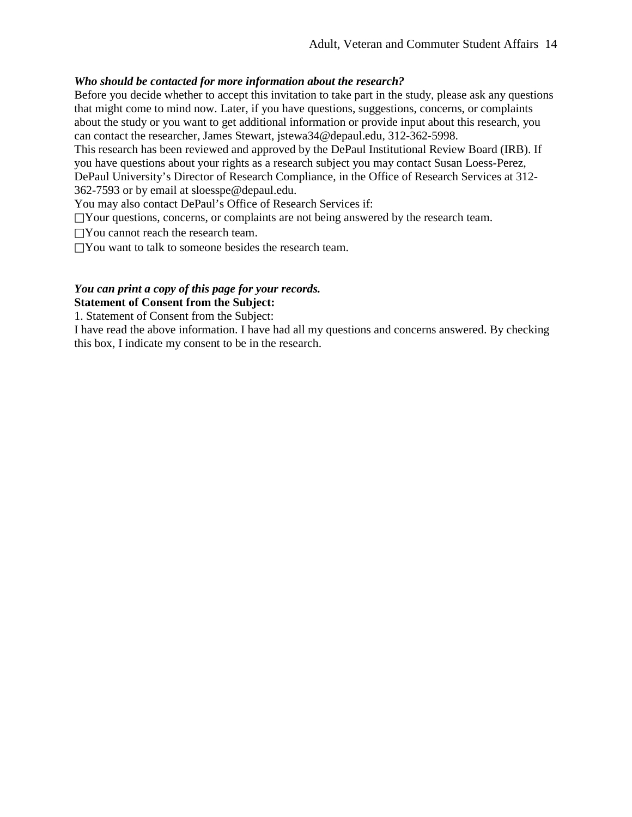### *Who should be contacted for more information about the research?*

Before you decide whether to accept this invitation to take part in the study, please ask any questions that might come to mind now. Later, if you have questions, suggestions, concerns, or complaints about the study or you want to get additional information or provide input about this research, you can contact the researcher, James Stewart, jstewa34@depaul.edu, 312-362-5998.

This research has been reviewed and approved by the DePaul Institutional Review Board (IRB). If you have questions about your rights as a research subject you may contact Susan Loess-Perez, DePaul University's Director of Research Compliance, in the Office of Research Services at 312-

362-7593 or by email at sloesspe@depaul.edu.

You may also contact DePaul's Office of Research Services if:

 $\Box$ Your questions, concerns, or complaints are not being answered by the research team.

□You cannot reach the research team.

 $\Box$  You want to talk to someone besides the research team.

# *You can print a copy of this page for your records.*

**Statement of Consent from the Subject:** 

1. Statement of Consent from the Subject:

I have read the above information. I have had all my questions and concerns answered. By checking this box, I indicate my consent to be in the research.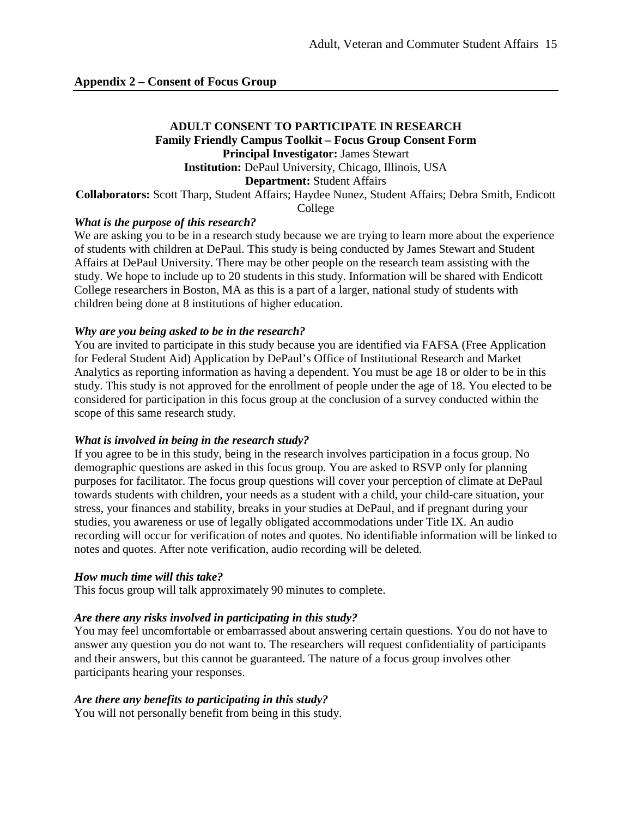### **ADULT CONSENT TO PARTICIPATE IN RESEARCH Family Friendly Campus Toolkit – Focus Group Consent Form Principal Investigator:** James Stewart **Institution:** DePaul University, Chicago, Illinois, USA **Department:** Student Affairs **Collaborators:** Scott Tharp, Student Affairs; Haydee Nunez, Student Affairs; Debra Smith, Endicott

College

### *What is the purpose of this research?*

We are asking you to be in a research study because we are trying to learn more about the experience of students with children at DePaul. This study is being conducted by James Stewart and Student Affairs at DePaul University. There may be other people on the research team assisting with the study. We hope to include up to 20 students in this study. Information will be shared with Endicott College researchers in Boston, MA as this is a part of a larger, national study of students with children being done at 8 institutions of higher education.

### *Why are you being asked to be in the research?*

You are invited to participate in this study because you are identified via FAFSA (Free Application for Federal Student Aid) Application by DePaul's Office of Institutional Research and Market Analytics as reporting information as having a dependent. You must be age 18 or older to be in this study. This study is not approved for the enrollment of people under the age of 18. You elected to be considered for participation in this focus group at the conclusion of a survey conducted within the scope of this same research study.

#### *What is involved in being in the research study?*

If you agree to be in this study, being in the research involves participation in a focus group. No demographic questions are asked in this focus group. You are asked to RSVP only for planning purposes for facilitator. The focus group questions will cover your perception of climate at DePaul towards students with children, your needs as a student with a child, your child-care situation, your stress, your finances and stability, breaks in your studies at DePaul, and if pregnant during your studies, you awareness or use of legally obligated accommodations under Title IX. An audio recording will occur for verification of notes and quotes. No identifiable information will be linked to notes and quotes. After note verification, audio recording will be deleted.

#### *How much time will this take?*

This focus group will talk approximately 90 minutes to complete.

### *Are there any risks involved in participating in this study?*

You may feel uncomfortable or embarrassed about answering certain questions. You do not have to answer any question you do not want to. The researchers will request confidentiality of participants and their answers, but this cannot be guaranteed. The nature of a focus group involves other participants hearing your responses.

### *Are there any benefits to participating in this study?*

You will not personally benefit from being in this study.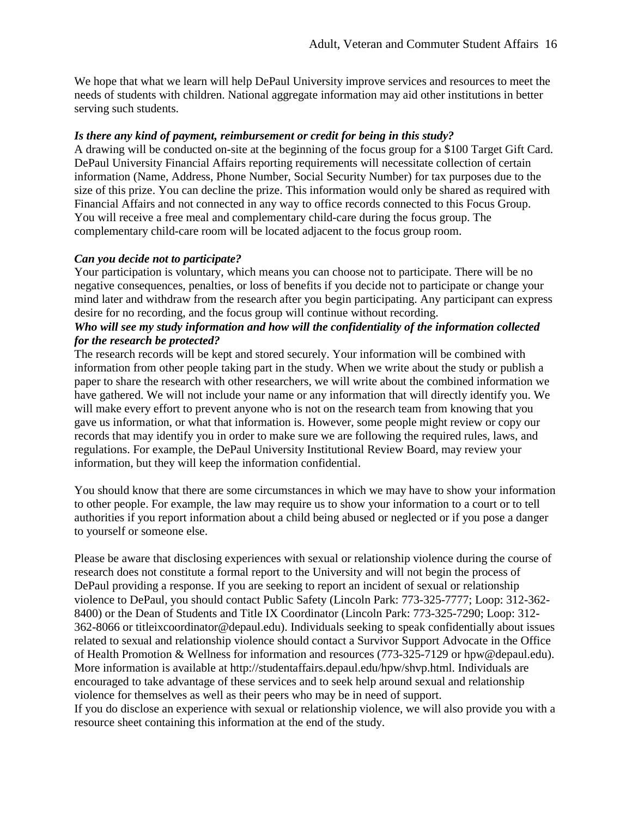We hope that what we learn will help DePaul University improve services and resources to meet the needs of students with children. National aggregate information may aid other institutions in better serving such students.

### *Is there any kind of payment, reimbursement or credit for being in this study?*

A drawing will be conducted on-site at the beginning of the focus group for a \$100 Target Gift Card. DePaul University Financial Affairs reporting requirements will necessitate collection of certain information (Name, Address, Phone Number, Social Security Number) for tax purposes due to the size of this prize. You can decline the prize. This information would only be shared as required with Financial Affairs and not connected in any way to office records connected to this Focus Group. You will receive a free meal and complementary child-care during the focus group. The complementary child-care room will be located adjacent to the focus group room.

### *Can you decide not to participate?*

Your participation is voluntary, which means you can choose not to participate. There will be no negative consequences, penalties, or loss of benefits if you decide not to participate or change your mind later and withdraw from the research after you begin participating. Any participant can express desire for no recording, and the focus group will continue without recording.

### *Who will see my study information and how will the confidentiality of the information collected for the research be protected?*

The research records will be kept and stored securely. Your information will be combined with information from other people taking part in the study. When we write about the study or publish a paper to share the research with other researchers, we will write about the combined information we have gathered. We will not include your name or any information that will directly identify you. We will make every effort to prevent anyone who is not on the research team from knowing that you gave us information, or what that information is. However, some people might review or copy our records that may identify you in order to make sure we are following the required rules, laws, and regulations. For example, the DePaul University Institutional Review Board, may review your information, but they will keep the information confidential.

You should know that there are some circumstances in which we may have to show your information to other people. For example, the law may require us to show your information to a court or to tell authorities if you report information about a child being abused or neglected or if you pose a danger to yourself or someone else.

Please be aware that disclosing experiences with sexual or relationship violence during the course of research does not constitute a formal report to the University and will not begin the process of DePaul providing a response. If you are seeking to report an incident of sexual or relationship violence to DePaul, you should contact Public Safety (Lincoln Park: 773-325-7777; Loop: 312-362- 8400) or the Dean of Students and Title IX Coordinator (Lincoln Park: 773-325-7290; Loop: 312- 362-8066 or titleixcoordinator@depaul.edu). Individuals seeking to speak confidentially about issues related to sexual and relationship violence should contact a Survivor Support Advocate in the Office of Health Promotion & Wellness for information and resources (773-325-7129 or hpw@depaul.edu). More information is available at http://studentaffairs.depaul.edu/hpw/shvp.html. Individuals are encouraged to take advantage of these services and to seek help around sexual and relationship violence for themselves as well as their peers who may be in need of support. If you do disclose an experience with sexual or relationship violence, we will also provide you with a resource sheet containing this information at the end of the study.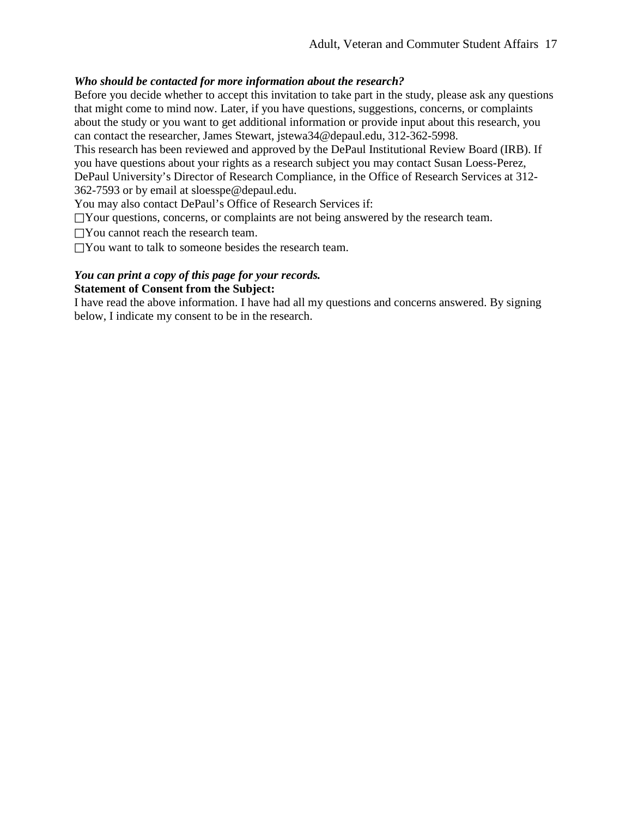### *Who should be contacted for more information about the research?*

Before you decide whether to accept this invitation to take part in the study, please ask any questions that might come to mind now. Later, if you have questions, suggestions, concerns, or complaints about the study or you want to get additional information or provide input about this research, you can contact the researcher, James Stewart, jstewa34@depaul.edu, 312-362-5998.

This research has been reviewed and approved by the DePaul Institutional Review Board (IRB). If you have questions about your rights as a research subject you may contact Susan Loess-Perez,

DePaul University's Director of Research Compliance, in the Office of Research Services at 312- 362-7593 or by email at sloesspe@depaul.edu.

You may also contact DePaul's Office of Research Services if:

 $\Box$ Your questions, concerns, or complaints are not being answered by the research team.

□You cannot reach the research team.

 $\Box$  You want to talk to someone besides the research team.

### *You can print a copy of this page for your records.*  **Statement of Consent from the Subject:**

I have read the above information. I have had all my questions and concerns answered. By signing below, I indicate my consent to be in the research.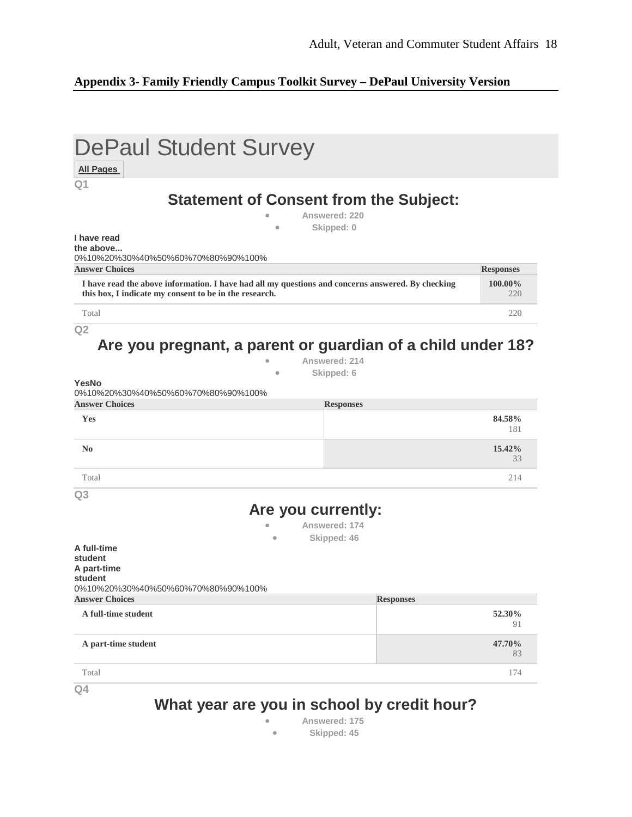### **Appendix 3- Family Friendly Campus Toolkit Survey – DePaul University Version**

| Q1                                                                                                                                                          |                  |                  |
|-------------------------------------------------------------------------------------------------------------------------------------------------------------|------------------|------------------|
| <b>Statement of Consent from the Subject:</b>                                                                                                               |                  |                  |
|                                                                                                                                                             | Answered: 220    |                  |
| ۰<br>I have read                                                                                                                                            | Skipped: 0       |                  |
| the above                                                                                                                                                   |                  |                  |
| 0%10%20%30%40%50%60%70%80%90%100%<br><b>Answer Choices</b>                                                                                                  |                  | <b>Responses</b> |
| I have read the above information. I have had all my questions and concerns answered. By checking<br>this box, I indicate my consent to be in the research. |                  | 100.00%<br>220   |
| Total                                                                                                                                                       |                  | 220              |
| Q <sub>2</sub>                                                                                                                                              |                  |                  |
| Are you pregnant, a parent or guardian of a child under 18?                                                                                                 |                  |                  |
|                                                                                                                                                             | Answered: 214    |                  |
| $\bullet$<br>YesNo                                                                                                                                          | Skipped: 6       |                  |
| 0%10%20%30%40%50%60%70%80%90%100%                                                                                                                           |                  |                  |
| <b>Answer Choices</b>                                                                                                                                       | <b>Responses</b> |                  |
| Yes                                                                                                                                                         |                  | 84.58%           |
|                                                                                                                                                             |                  | 181              |
|                                                                                                                                                             |                  | 15.42%<br>33     |
| Total                                                                                                                                                       |                  | 214              |
|                                                                                                                                                             |                  |                  |
| Are you currently:                                                                                                                                          |                  |                  |
|                                                                                                                                                             | Answered: 174    |                  |
|                                                                                                                                                             | Skipped: 46      |                  |
| $\mathbf{N}\mathbf{0}$<br>Q <sub>3</sub><br>A full-time<br>student                                                                                          |                  |                  |
| A part-time                                                                                                                                                 |                  |                  |
|                                                                                                                                                             |                  |                  |
|                                                                                                                                                             | <b>Responses</b> |                  |
| student<br>0%10%20%30%40%50%60%70%80%90%100%<br><b>Answer Choices</b><br>A full-time student                                                                |                  | 52.30%<br>91     |
| A part-time student                                                                                                                                         |                  | 47.70%<br>83     |

• **Answered: 175** • **Skipped: 45**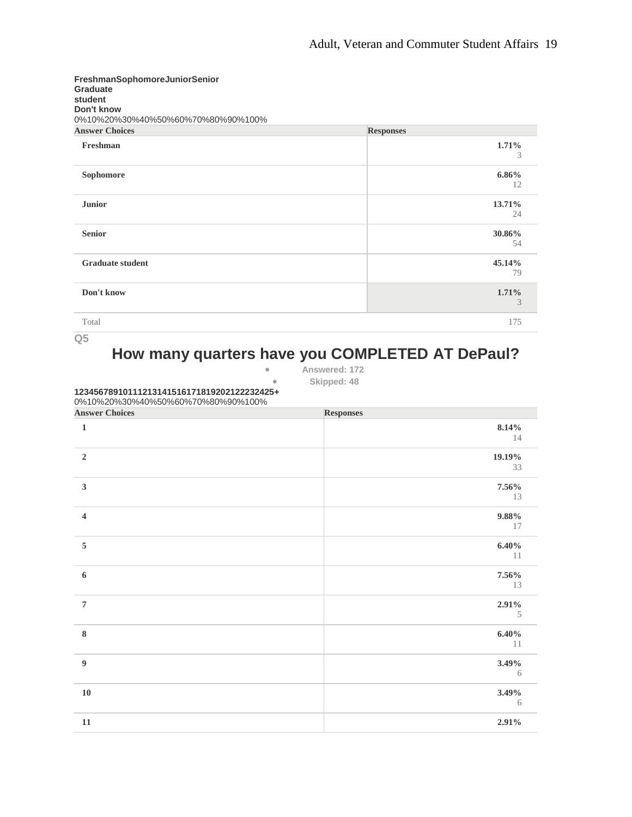| FreshmanSophomoreJuniorSenior<br><b>Graduate</b><br>student<br>Don't know<br>0%10%20%30%40%50%60%70%80%90%100% |                  |
|----------------------------------------------------------------------------------------------------------------|------------------|
| <b>Answer Choices</b>                                                                                          | <b>Responses</b> |
| Freshman                                                                                                       | 1.71%<br>3       |
| Sophomore                                                                                                      | $6.86\%$<br>12   |
| <b>Junior</b>                                                                                                  | 13.71%<br>24     |
| <b>Senior</b>                                                                                                  | 30.86%<br>54     |
| <b>Graduate student</b>                                                                                        | 45.14%<br>79     |
| Don't know                                                                                                     | 1.71%<br>3       |
| Total                                                                                                          | 175              |

**How many quarters have you COMPLETED AT DePaul?**

• **Answered: 172**

• **Skipped: 48**

**12345678910111213141516171819202122232425+** 0%10%20%30%40%50%60%70%80%90%100%

| <b>Answer Choices</b>    | Responses   |
|--------------------------|-------------|
| $\mathbf 1$              | 8.14%       |
|                          | 14          |
| $\sqrt{2}$               | 19.19%      |
|                          | 33          |
| $\mathbf{3}$             | 7.56%       |
|                          | 13          |
| $\overline{\mathbf{4}}$  | $9.88\%$    |
|                          | 17          |
| $\sqrt{5}$               | $6.40\%$    |
|                          | 11          |
| $\bf 6$                  | 7.56%       |
|                          | 13          |
| $\overline{\mathcal{I}}$ | 2.91%       |
|                          | $\,$ 5 $\,$ |
| $\bf 8$                  | $6.40\%$    |
|                          | $11\,$      |
| $\boldsymbol{9}$         | 3.49%       |
|                          | $\sqrt{6}$  |
| ${\bf 10}$               | 3.49%       |
|                          | 6           |
| $11\,$                   | 2.91%       |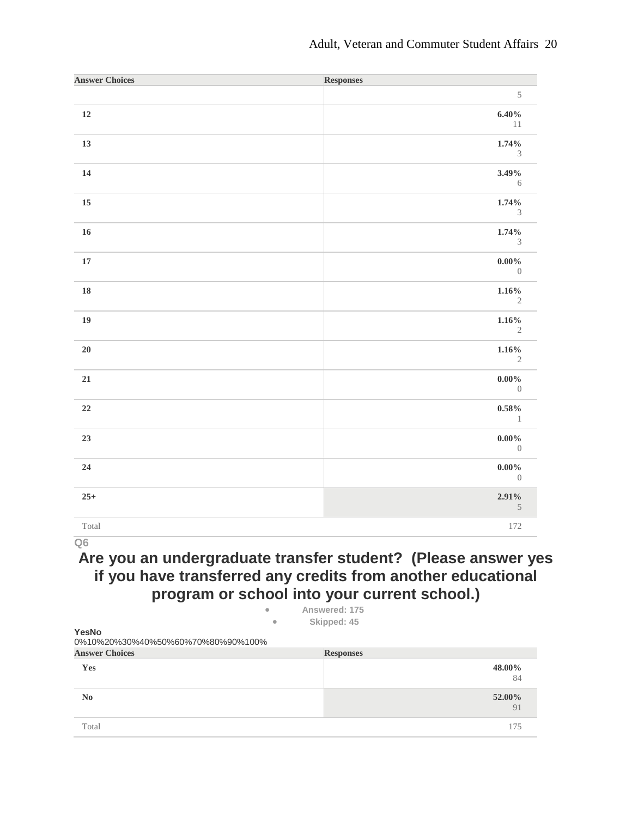| <b>Answer Choices</b> | <b>Responses</b>                     |
|-----------------------|--------------------------------------|
|                       | $\,$ 5 $\,$                          |
| $12\,$                | 6.40%<br>11                          |
| 13                    | 1.74%<br>$\ensuremath{\mathfrak{Z}}$ |
| $\bf{14}$             | 3.49%<br>6                           |
| $15\,$                | 1.74%<br>$\ensuremath{\mathfrak{Z}}$ |
| $16\,$                | 1.74%<br>$\mathfrak{Z}$              |
| ${\bf 17}$            | $0.00\%$<br>$\overline{0}$           |
| ${\bf 18}$            | $1.16\%$<br>$\sqrt{2}$               |
| 19                    | $1.16\%$<br>$\sqrt{2}$               |
| ${\bf 20}$            | 1.16%<br>$\sqrt{2}$                  |
| 21                    | $0.00\%$<br>$\overline{0}$           |
| $\bf 22$              | $0.58\%$<br>$\qquad \qquad 1$        |
| 23                    | $0.00\%$<br>$\overline{0}$           |
| ${\bf 24}$            | $0.00\%$<br>$\overline{0}$           |
| $25+$                 | 2.91%<br>$5\phantom{.0}$             |
| Total                 | 172                                  |

**Are you an undergraduate transfer student? (Please answer yes if you have transferred any credits from another educational program or school into your current school.)** • **Answered: 175**

| ÷                                          | Alisweieu: 179   |              |
|--------------------------------------------|------------------|--------------|
| $\bullet$                                  | Skipped: 45      |              |
| YesNo<br>0%10%20%30%40%50%60%70%80%90%100% |                  |              |
| <b>Answer Choices</b>                      | <b>Responses</b> |              |
| Yes                                        |                  | 48.00%<br>84 |
| N <sub>0</sub>                             |                  | 52.00%<br>91 |
| Total                                      |                  | 175          |
|                                            |                  |              |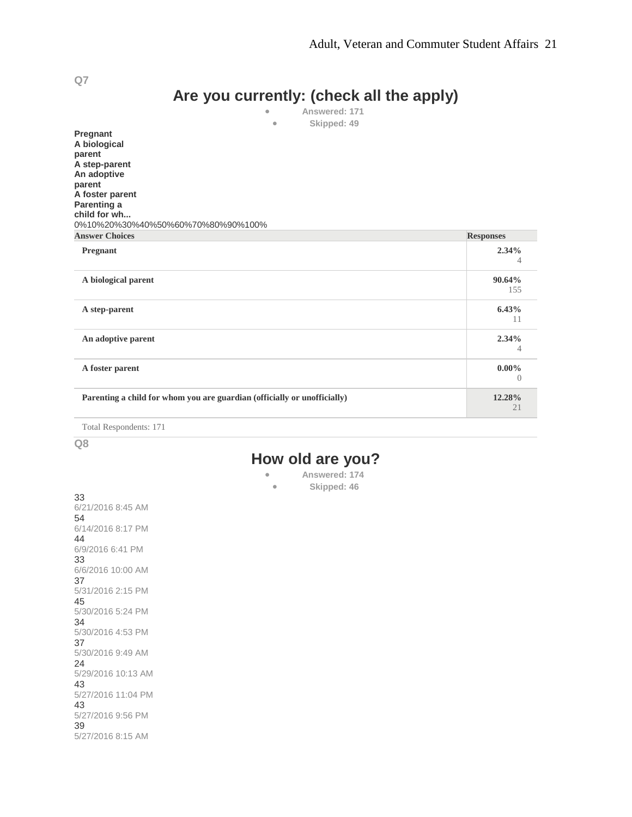# **Are you currently: (check all the apply)**

• **Answered: 171** Skipped: 49

**Pregnant A biological parent A step-parent An adoptive parent A foster parent Parenting a child for wh...** 0%10%20%30%40%50%60%70%80%90%100%

| <b>Answer Choices</b>                                                    | <b>Responses</b>             |
|--------------------------------------------------------------------------|------------------------------|
| <b>Pregnant</b>                                                          | 2.34%<br>4                   |
| A biological parent                                                      | 90.64%<br>155                |
| A step-parent                                                            | 6.43%<br>11                  |
| An adoptive parent                                                       | 2.34%<br>4                   |
| A foster parent                                                          | $0.00\%$<br>$\left( \right)$ |
| Parenting a child for whom you are guardian (officially or unofficially) | 12.28%<br>21                 |

Total Respondents: 171

**Q8**

### **How old are you?**

- **Answered: 174**
	- **Skipped: 46**

33 6/21/2016 8:45 AM 54 6/14/2016 8:17 PM 44 6/9/2016 6:41 PM 33 6/6/2016 10:00 AM 37 5/31/2016 2:15 PM 45 5/30/2016 5:24 PM 34 5/30/2016 4:53 PM 37 5/30/2016 9:49 AM 24 5/29/2016 10:13 AM 43 5/27/2016 11:04 PM 43 5/27/2016 9:56 PM 39 5/27/2016 8:15 AM

**Q7**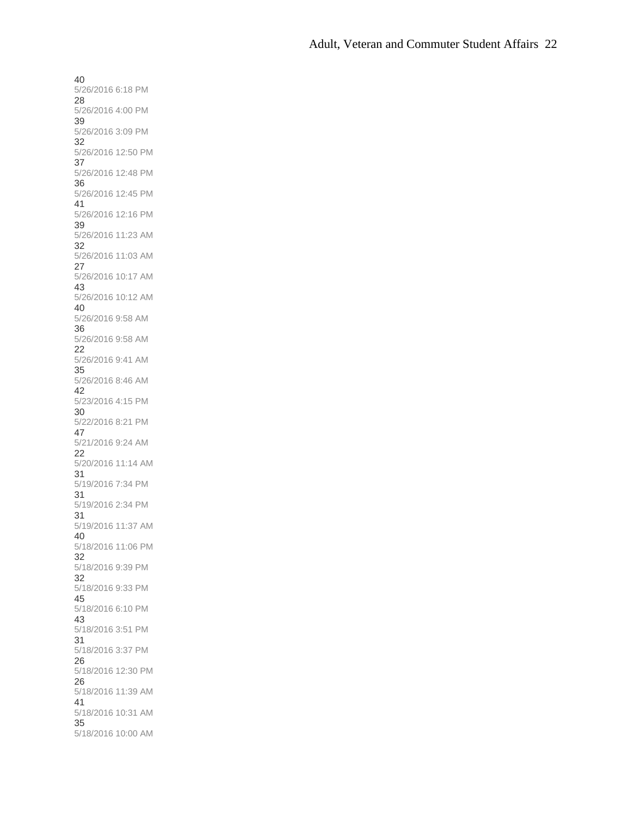40 5/26/2016 6:18 PM 28 5/26/2016 4:00 PM 39 5/26/2016 3:09 PM 32 5/26/2016 12:50 PM 37 5/26/2016 12:48 PM 36 5/26/2016 12:45 PM 41 5/26/2016 12:16 PM 39 5/26/2016 11:23 AM 32 5/26/2016 11:03 AM 27 5/26/2016 10:17 AM 43 5/26/2016 10:12 AM 40 5/26/2016 9:58 AM 36 5/26/2016 9:58 AM 22 5/26/2016 9:41 AM 35 5/26/2016 8:46 AM 42 5/23/2016 4:15 PM 30 5/22/2016 8:21 PM 47 5/21/2016 9:24 AM 22 5/20/2016 11:14 AM 31 5/19/2016 7:34 PM 31 5/19/2016 2:34 PM 31 5/19/2016 11:37 AM 40 5/18/2016 11:06 PM 32 5/18/2016 9:39 PM 32 5/18/2016 9:33 PM 45 5/18/2016 6:10 PM 43 5/18/2016 3:51 PM 31 5/18/2016 3:37 PM 26 5/18/2016 12:30 PM 26 5/18/2016 11:39 AM 41 5/18/2016 10:31 AM 35 5/18/2016 10:00 AM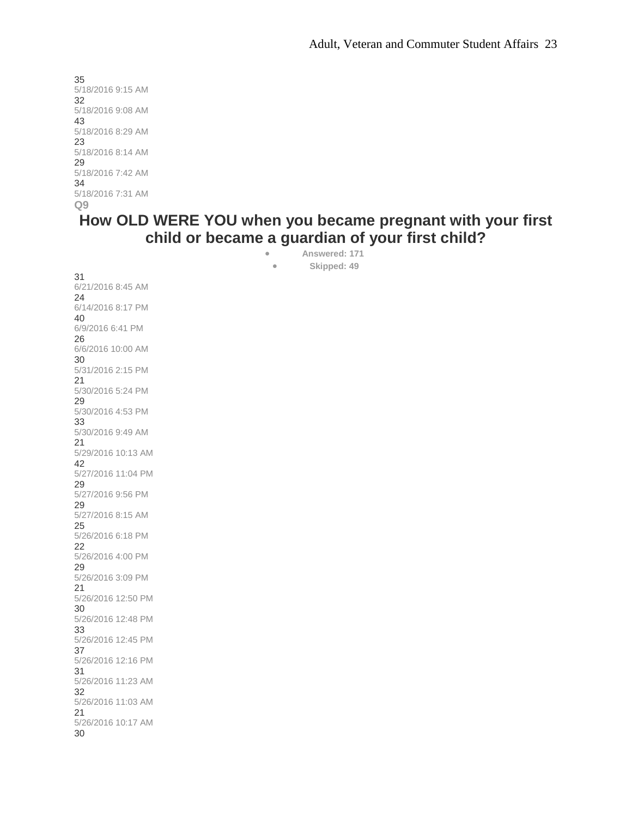35 5/18/2016 9:15 AM 32 5/18/2016 9:08 AM 43 5/18/2016 8:29 AM 23 5/18/2016 8:14 AM 29 5/18/2016 7:42 AM 34 5/18/2016 7:31 AM **Q9**

## **How OLD WERE YOU when you became pregnant with your first child or became a guardian of your first child?**

• **Answered: 171** • **Skipped: 49**

31 6/21/2016 8:45 AM 24 6/14/2016 8:17 PM 40 6/9/2016 6:41 PM 26 6/6/2016 10:00 AM 30 5/31/2016 2:15 PM 21 5/30/2016 5:24 PM 29 5/30/2016 4:53 PM 33 5/30/2016 9:49 AM 21 5/29/2016 10:13 AM 42 5/27/2016 11:04 PM 29 5/27/2016 9:56 PM 29 5/27/2016 8:15 AM 25 5/26/2016 6:18 PM 22 5/26/2016 4:00 PM 29 5/26/2016 3:09 PM 21 5/26/2016 12:50 PM 30 5/26/2016 12:48 PM 33 5/26/2016 12:45 PM 37 5/26/2016 12:16 PM 31 5/26/2016 11:23 AM 32 5/26/2016 11:03 AM 21 5/26/2016 10:17 AM 30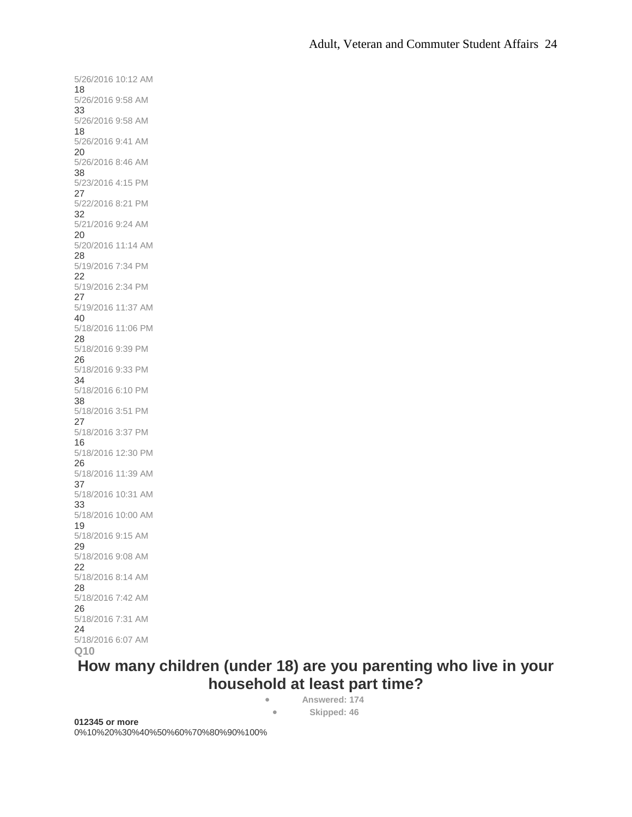5/26/2016 10:12 AM 18 5/26/2016 9:58 AM 33 5/26/2016 9:58 AM 18 5/26/2016 9:41 AM 20 5/26/2016 8:46 AM 38 5/23/2016 4:15 PM 27 5/22/2016 8:21 PM 32 5/21/2016 9:24 AM 20 5/20/2016 11:14 AM 28 5/19/2016 7:34 PM 22 5/19/2016 2:34 PM 27 5/19/2016 11:37 AM 40 5/18/2016 11:06 PM 28 5/18/2016 9:39 PM 26 5/18/2016 9:33 PM 34 5/18/2016 6:10 PM 38 5/18/2016 3:51 PM 27 5/18/2016 3:37 PM 16 5/18/2016 12:30 PM 26 5/18/2016 11:39 AM 37 5/18/2016 10:31 AM 33 5/18/2016 10:00 AM 19 5/18/2016 9:15 AM 29 5/18/2016 9:08 AM 22 5/18/2016 8:14 AM 28 5/18/2016 7:42 AM 26 5/18/2016 7:31 AM 24 5/18/2016 6:07 AM **Q10**

# **How many children (under 18) are you parenting who live in your household at least part time?**

• **Answered: 174** • **Skipped: 46**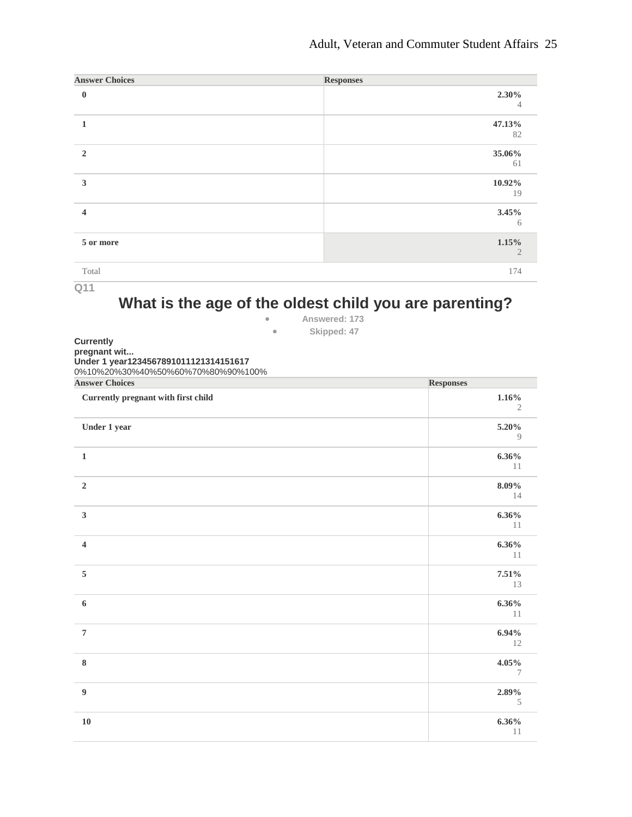### Adult, Veteran and Commuter Student Affairs 25

| <b>Answer Choices</b>   | <b>Responses</b>        |
|-------------------------|-------------------------|
| $\bf{0}$                | 2.30%<br>4              |
|                         | 47.13%<br>82            |
| $\overline{2}$          | 35.06%<br>61            |
| 3                       | 10.92%<br>19            |
| $\overline{\mathbf{4}}$ | 3.45%<br>6              |
| 5 or more               | 1.15%<br>$\overline{2}$ |
| Total                   | 174                     |

**Q11**

# **What is the age of the oldest child you are parenting?**

• **Answered: 173** • **Skipped: 47**

**Currently pregnant wit... Under 1 year1234567891011121314151617**

0%10%20%30%40%50%60%70%80%90%100%

| <b>Answer Choices</b>               | <b>Responses</b>      |
|-------------------------------------|-----------------------|
| Currently pregnant with first child | 1.16%<br>$\mathbf{2}$ |
| Under 1 year                        | 5.20%<br>9            |
| $\mathbf 1$                         | $6.36\%$<br>11        |
| $\mathbf 2$                         | $8.09\%$<br>14        |
| $\overline{\mathbf{3}}$             | $6.36\%$<br>11        |
| $\overline{\mathbf{4}}$             | $6.36\%$<br>11        |
| 5                                   | 7.51%<br>13           |
| $\boldsymbol{6}$                    | $6.36\%$<br>11        |
| $\overline{\mathcal{I}}$            | 6.94%<br>12           |
| $\bf 8$                             | $4.05\%$<br>7         |
| $\overline{9}$                      | $2.89\%$<br>5         |
| ${\bf 10}$                          | $6.36\%$<br>$1\,1$    |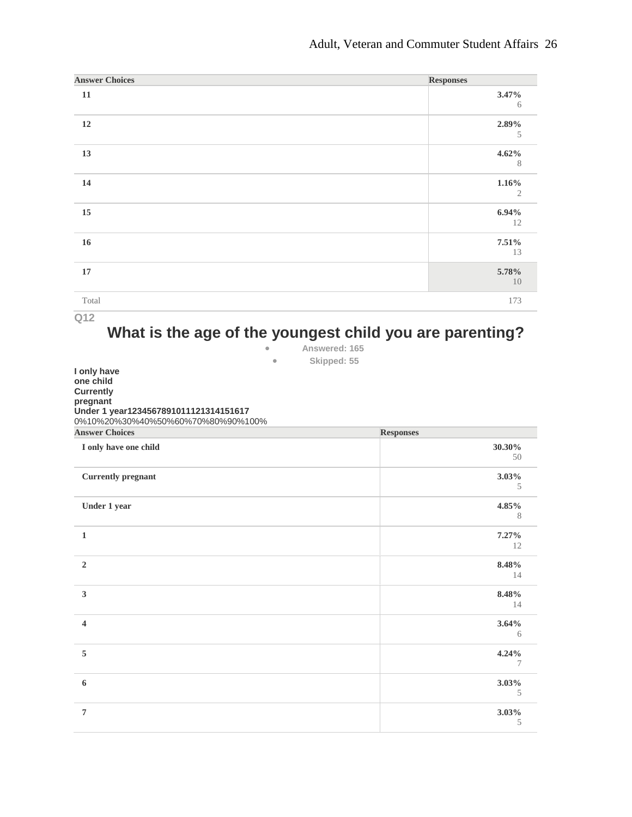| <b>Answer Choices</b> | <b>Responses</b>           |
|-----------------------|----------------------------|
| $11\,$                | $3.47\%$<br>6              |
| $12\,$                | 2.89%<br>5                 |
| 13                    | 4.62%<br>8                 |
| $14\,$                | $1.16\%$<br>$\mathfrak{2}$ |
| $15\,$                | 6.94%<br>12                |
| $16\,$                | 7.51%<br>13                |
| $17\,$                | 5.78%<br>$10\,$            |
| Total                 | 173                        |

### **What is the age of the youngest child you are parenting?**

| Answered: 165  |  |
|----------------|--|
| Olden - J. FE. |  |

| $\bullet$                             | Skipped: 55      |
|---------------------------------------|------------------|
| I only have                           |                  |
| one child                             |                  |
| <b>Currently</b>                      |                  |
| pregnant                              |                  |
| Under 1 year1234567891011121314151617 |                  |
| 0%10%20%30%40%50%60%70%80%90%100%     |                  |
| <b>Answer Choices</b>                 | <b>Responses</b> |
| I only have one child                 | 30.30%           |
|                                       | 50               |
| <b>Currently pregnant</b>             | 3.03%            |
|                                       | 5                |
| Under 1 year                          | 4.85%            |
|                                       | 8                |
| $\mathbf{1}$                          | 7.27%            |
|                                       | 12               |
| $\overline{2}$                        | 8.48%            |
|                                       | 14               |
| $\mathbf{3}$                          | 8.48%            |
|                                       | 14               |
| $\overline{4}$                        | 3.64%            |
|                                       | 6                |
| 5                                     | 4.24%            |
|                                       | 7                |
| 6                                     | 3.03%            |
|                                       | 5                |
| $\overline{7}$                        | 3.03%            |
|                                       | 5                |
|                                       |                  |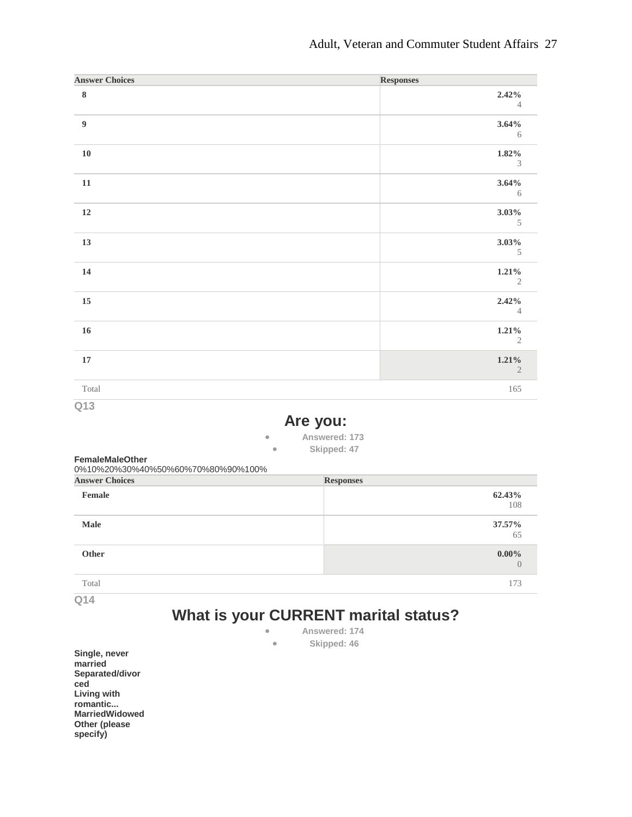| <b>Answer Choices</b>                                              |                                                                                   | <b>Responses</b>                     |
|--------------------------------------------------------------------|-----------------------------------------------------------------------------------|--------------------------------------|
| $\bf 8$                                                            |                                                                                   | 2.42%<br>$\overline{4}$              |
| $\boldsymbol{9}$                                                   |                                                                                   | 3.64%<br>6                           |
| ${\bf 10}$                                                         |                                                                                   | 1.82%<br>3                           |
| 11                                                                 |                                                                                   | 3.64%<br>6                           |
| 12                                                                 |                                                                                   | 3.03%<br>$\mathcal{S}_{\mathcal{S}}$ |
| 13                                                                 |                                                                                   | 3.03%<br>5                           |
| 14                                                                 |                                                                                   | 1.21%<br>2                           |
| 15                                                                 |                                                                                   | 2.42%<br>$\overline{4}$              |
| 16                                                                 |                                                                                   | 1.21%<br>2                           |
| 17                                                                 |                                                                                   | 1.21%<br>$\mathfrak{2}$              |
| Total                                                              |                                                                                   | 165                                  |
| Q13<br><b>FemaleMaleOther</b><br>0%10%20%30%40%50%60%70%80%90%100% | Are you:<br>Answered: 173<br>$\bullet$<br>Skipped: 47<br>$\bullet$                |                                      |
| <b>Answer Choices</b>                                              | <b>Responses</b>                                                                  |                                      |
| Female                                                             |                                                                                   | 62.43%<br>108                        |
| <b>Male</b>                                                        |                                                                                   | 37.57%<br>65                         |
| Other                                                              |                                                                                   | $0.00\%$<br>$\overline{0}$           |
| Total                                                              |                                                                                   | 173                                  |
| Q14                                                                | What is your CURRENT marital status?<br>Answered: 174<br>Skipped: 46<br>$\bullet$ |                                      |

**Single, never married Separated/divor ced Living with romantic... MarriedWidowed Other (please specify)**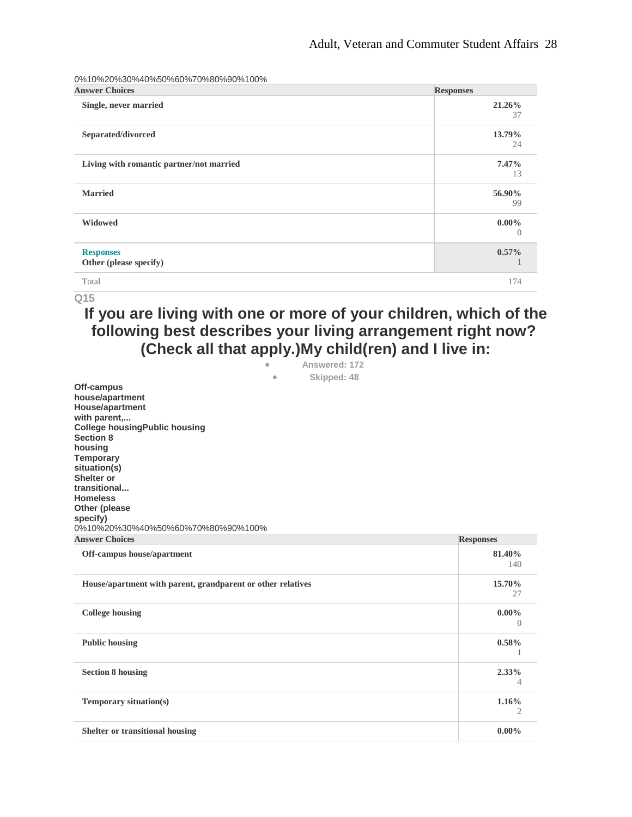0%10%20%30%40%50%60%70%80%90%100%

| <b>Answer Choices</b>                      | <b>Responses</b>             |
|--------------------------------------------|------------------------------|
| Single, never married                      | 21.26%<br>37                 |
| Separated/divorced                         | 13.79%<br>24                 |
| Living with romantic partner/not married   | 7.47%<br>13                  |
| <b>Married</b>                             | 56.90%<br>99                 |
| <b>Widowed</b>                             | $0.00\%$<br>$\left( \right)$ |
| <b>Responses</b><br>Other (please specify) | $0.57\%$                     |
| Total                                      | 174                          |

### **Q15**

# **If you are living with one or more of your children, which of the following best describes your living arrangement right now? (Check all that apply.)My child(ren) and I live in:**

| ۰ | Answered: 172 |  |
|---|---------------|--|
|   | Skipped: 48   |  |

| Off-campus                                                  |                  |
|-------------------------------------------------------------|------------------|
| house/apartment                                             |                  |
| House/apartment                                             |                  |
| with parent,                                                |                  |
| <b>College housing Public housing</b>                       |                  |
| <b>Section 8</b>                                            |                  |
| housing                                                     |                  |
| <b>Temporary</b>                                            |                  |
| situation(s)                                                |                  |
| Shelter or                                                  |                  |
| transitional                                                |                  |
| <b>Homeless</b>                                             |                  |
| Other (please                                               |                  |
| specify)                                                    |                  |
| 0%10%20%30%40%50%60%70%80%90%100%                           |                  |
| <b>Answer Choices</b>                                       | <b>Responses</b> |
| Off-campus house/apartment                                  | 81.40%           |
|                                                             | 140              |
| House/apartment with parent, grandparent or other relatives | 15.70%           |
|                                                             | 27               |
| <b>College housing</b>                                      | $0.00\%$         |
|                                                             | $\Omega$         |
| <b>Public housing</b>                                       | 0.58%            |
|                                                             |                  |
| <b>Section 8 housing</b>                                    | 2.33%            |
|                                                             | 4                |
| Temporary situation(s)                                      | 1.16%            |
|                                                             | 2                |
| <b>Shelter or transitional housing</b>                      | $0.00\%$         |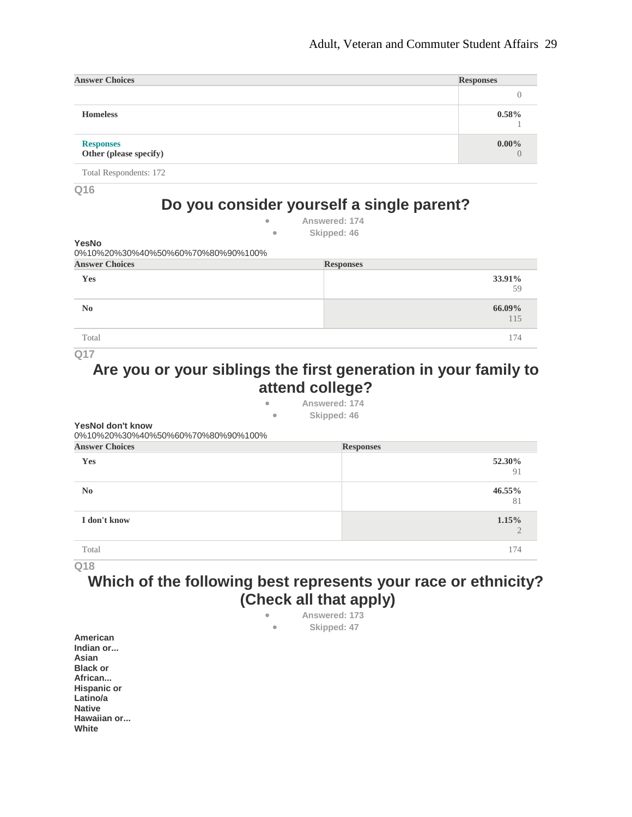| <b>Answer Choices</b>                      | <b>Responses</b> |
|--------------------------------------------|------------------|
|                                            |                  |
| <b>Homeless</b>                            | 0.58%            |
| <b>Responses</b><br>Other (please specify) | $0.00\%$         |

Total Respondents: 172

**Q16**

# **Do you consider yourself a single parent?**

• **Answered: 174**

| Skipped: 46 |  |
|-------------|--|
|-------------|--|

**Answer Choices Responses**

| YesNo                             |  |
|-----------------------------------|--|
| 0%10%20%30%40%50%60%70%80%90%100% |  |
| <b>Answer Choices</b>             |  |
| Yes                               |  |

| Yes            | 33.91%           |
|----------------|------------------|
| N <sub>0</sub> | $66.09\%$<br>115 |
| Total          | 174              |

**Q17**

### **Are you or your siblings the first generation in your family to attend college?**

• **Answered: 174**

• **Skipped: 46**

**YesNoI don't know** 0%10%20%30%40%50%60%70%80%90%100%

| <b>Answer Choices</b> | <b>Responses</b> |
|-----------------------|------------------|
| Yes                   | 52.30%<br>91     |
| N <sub>0</sub>        | 46.55%<br>81     |
| I don't know          | 1.15%            |
| Total                 | 174              |

**Q18**

# **Which of the following best represents your race or ethnicity? (Check all that apply)**

|                      | $\bullet$<br>$\bullet$ | Answered: 173<br>Skipped: 47 |  |
|----------------------|------------------------|------------------------------|--|
| American             |                        |                              |  |
| Indian or            |                        |                              |  |
| Asian                |                        |                              |  |
| <b>Black or</b>      |                        |                              |  |
| African              |                        |                              |  |
| <b>Hispanic or</b>   |                        |                              |  |
| Latino/a             |                        |                              |  |
| <b>Native</b>        |                        |                              |  |
| Hawaiian or<br>White |                        |                              |  |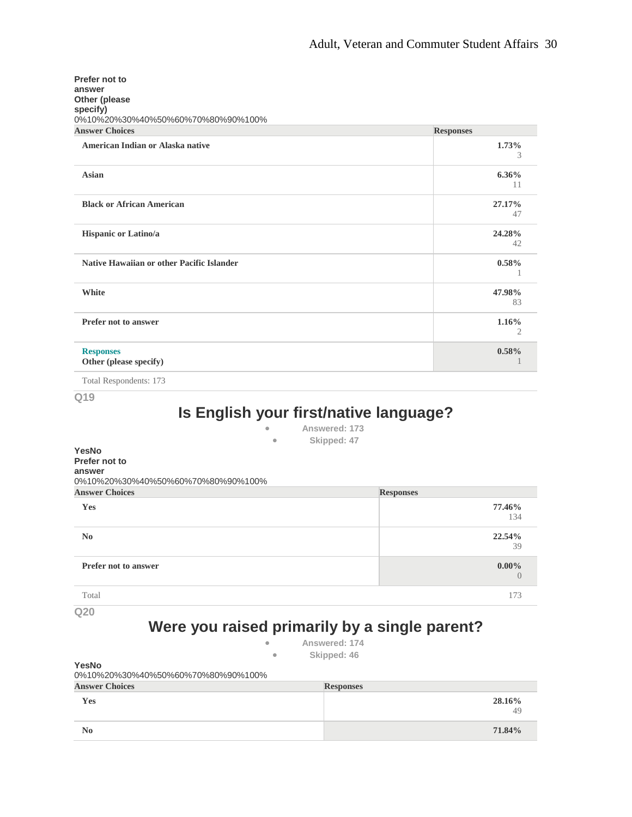| Prefer not to<br>answer<br>Other (please<br>specify)<br>0%10%20%30%40%50%60%70%80%90%100% |                  |
|-------------------------------------------------------------------------------------------|------------------|
| <b>Answer Choices</b>                                                                     | <b>Responses</b> |
| American Indian or Alaska native                                                          | 1.73%<br>3       |
| Asian                                                                                     | $6.36\%$<br>11   |
| <b>Black or African American</b>                                                          | 27.17%<br>47     |
| Hispanic or Latino/a                                                                      | 24.28%<br>42     |
| <b>Native Hawaiian or other Pacific Islander</b>                                          | 0.58%            |
| <b>White</b>                                                                              | 47.98%<br>83     |
| <b>Prefer not to answer</b>                                                               | 1.16%<br>2       |
| <b>Responses</b><br>Other (please specify)                                                | 0.58%            |

Total Respondents: 173

**Q19**

# **Is English your first/native language?**

| Answered: 173 |  |
|---------------|--|
| Skipped: 47   |  |

| $\sim$<br>YesNo<br>Prefer not to<br>answer | $unpyca. \tau$             |
|--------------------------------------------|----------------------------|
| 0%10%20%30%40%50%60%70%80%90%100%          |                            |
| <b>Answer Choices</b>                      | <b>Responses</b>           |
| Yes                                        | 77.46%<br>134              |
| N <sub>0</sub>                             | 22.54%<br>39               |
| Prefer not to answer                       | $0.00\%$<br>$\overline{0}$ |
| Total                                      | 173                        |

**Q20**

# **Were you raised primarily by a single parent?**

- **Answered: 174**
	- **Skipped: 46**

**YesNo** 0%10%20%30%40%50%60%70%80%90%100%

| <b>Answer Choices</b> | <b>Responses</b> |
|-----------------------|------------------|
| Yes                   | 28.16%<br>49     |
| $\bf No$              | 71.84%           |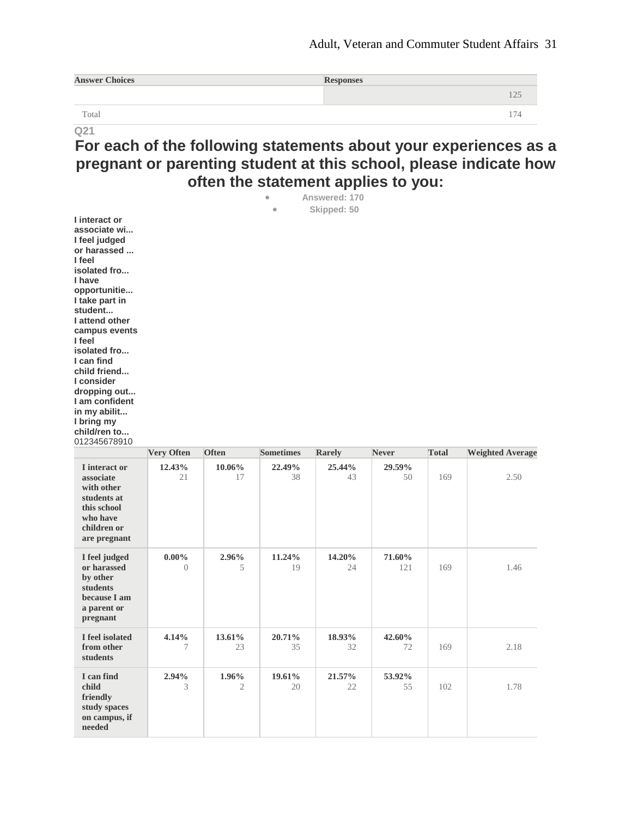| <b>Answer Choices</b> | <b>Responses</b> |                          |
|-----------------------|------------------|--------------------------|
|                       |                  |                          |
| Total                 |                  | $\overline{\phantom{0}}$ |

# **For each of the following statements about your experiences as a pregnant or parenting student at this school, please indicate how often the statement applies to you:**

| I interact or<br>associate wi<br>I feel judged<br>or harassed<br>I feel<br>isolated fro<br>I have<br>opportunitie<br>I take part in<br>student<br>I attend other<br>campus events<br>I feel<br>isolated fro<br>I can find<br>child friend<br>I consider<br>dropping out<br>I am confident |                              |              | $\bullet$<br>$\bullet$ | Answered: 170<br>Skipped: 50 |               |              |                         |
|-------------------------------------------------------------------------------------------------------------------------------------------------------------------------------------------------------------------------------------------------------------------------------------------|------------------------------|--------------|------------------------|------------------------------|---------------|--------------|-------------------------|
| in my abilit<br>I bring my                                                                                                                                                                                                                                                                |                              |              |                        |                              |               |              |                         |
| child/ren to<br>012345678910                                                                                                                                                                                                                                                              |                              |              |                        |                              |               |              |                         |
|                                                                                                                                                                                                                                                                                           | <b>Very Often</b>            | <b>Often</b> | <b>Sometimes</b>       | Rarely                       | <b>Never</b>  | <b>Total</b> | <b>Weighted Average</b> |
| I interact or                                                                                                                                                                                                                                                                             | 12.43%                       | $10.06\%$    | 22.49%                 | 25.44%                       | 29.59%        |              |                         |
| associate<br>with other<br>students at<br>this school<br>who have<br>children or<br>are pregnant                                                                                                                                                                                          | 21                           | 17           | 38                     | 43                           | 50            | 169          | 2.50                    |
| I feel judged<br>or harassed<br>by other<br>students<br>because I am<br>a parent or<br>pregnant                                                                                                                                                                                           | $0.00\%$<br>$\left( \right)$ | 2.96%<br>5   | 11.24%<br>19           | 14.20%<br>24                 | 71.60%<br>121 | 169          | 1.46                    |
| I feel isolated<br>from other<br>students                                                                                                                                                                                                                                                 | 4.14%<br>7                   | 13.61%<br>23 | 20.71%<br>35           | 18.93%<br>32                 | 42.60%<br>72  | 169          | 2.18                    |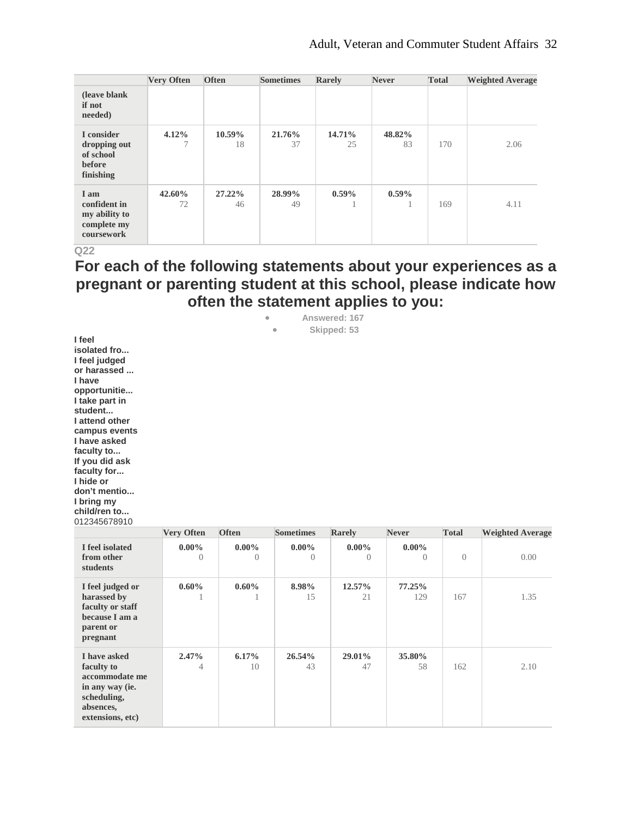|                                                                    | <b>Very Often</b> | <b>Often</b> | <b>Sometimes</b> | Rarely       | <b>Never</b> | <b>Total</b> | <b>Weighted Average</b> |
|--------------------------------------------------------------------|-------------------|--------------|------------------|--------------|--------------|--------------|-------------------------|
| (leave blank)<br>if not<br>needed)                                 |                   |              |                  |              |              |              |                         |
| I consider<br>dropping out<br>of school<br>before<br>finishing     | 4.12%             | 10.59%<br>18 | 21.76%<br>37     | 14.71%<br>25 | 48.82%<br>83 | 170          | 2.06                    |
| I am<br>confident in<br>my ability to<br>complete my<br>coursework | 42.60%<br>72      | 27.22%<br>46 | 28.99%<br>49     | $0.59\%$     | $0.59\%$     | 169          | 4.11                    |

## **For each of the following statements about your experiences as a pregnant or parenting student at this school, please indicate how often the statement applies to you:**

• **Answered: 167** • **Skipped: 53**

**I feel isolated fro... I feel judged or harassed ... I have opportunitie... I take part in student... I attend other campus events I have asked faculty to... If you did ask faculty for... I hide or don't mentio... I bring my child/ren to...** 012345678910

|                                                                                                                 | <b>Very Often</b>    | <b>Often</b>         | <b>Sometimes</b>     | <b>Rarely</b>        | <b>Never</b>          | <b>Total</b> | <b>Weighted Average</b> |
|-----------------------------------------------------------------------------------------------------------------|----------------------|----------------------|----------------------|----------------------|-----------------------|--------------|-------------------------|
| I feel isolated<br>from other<br>students                                                                       | $0.00\%$<br>$\Omega$ | $0.00\%$<br>$\theta$ | $0.00\%$<br>$\Omega$ | $0.00\%$<br>$\Omega$ | $0.00\%$<br>$\bigcap$ | $\Omega$     | 0.00                    |
| I feel judged or<br>harassed by<br>faculty or staff<br>because I am a<br>parent or<br>pregnant                  | $0.60\%$             | $0.60\%$             | 8.98%<br>15          | 12.57%<br>21         | $77.25\%$<br>129      | 167          | 1.35                    |
| I have asked<br>faculty to<br>accommodate me<br>in any way (ie.<br>scheduling,<br>absences,<br>extensions, etc) | 2.47%<br>4           | $6.17\%$<br>10       | 26.54%<br>43         | 29.01%<br>47         | 35.80%<br>58          | 162          | 2.10                    |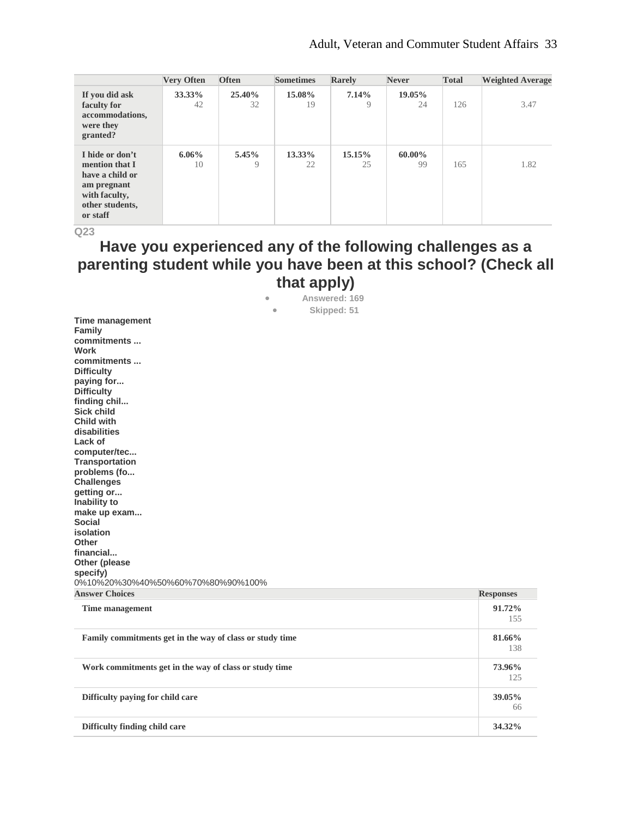|                                                                                                                     | <b>Very Often</b> | <b>Often</b>  | <b>Sometimes</b> | Rarely       | <b>Never</b> | <b>Total</b> | <b>Weighted Average</b> |
|---------------------------------------------------------------------------------------------------------------------|-------------------|---------------|------------------|--------------|--------------|--------------|-------------------------|
| If you did ask<br>faculty for<br>accommodations,<br>were they<br>granted?                                           | 33.33%<br>42      | 25.40%<br>32  | 15.08%<br>19     | 7.14%<br>9   | 19.05%<br>24 | 126          | 3.47                    |
| I hide or don't<br>mention that I<br>have a child or<br>am pregnant<br>with faculty,<br>other students,<br>or staff | $6.06\%$<br>10    | $5.45\%$<br>9 | 13.33%<br>22     | 15.15%<br>25 | 60.00%<br>99 | 165          | 1.82                    |

# **Have you experienced any of the following challenges as a parenting student while you have been at this school? (Check all that apply)**

• **Answered: 169** • **Skipped: 51**

| <b>Family commitments get in the way of class or study time</b> | 81.66%           |
|-----------------------------------------------------------------|------------------|
| Time management                                                 | 91.72%<br>155    |
| <b>Answer Choices</b>                                           | <b>Responses</b> |
| 0%10%20%30%40%50%60%70%80%90%100%                               |                  |
| specify)                                                        |                  |
| Other (please                                                   |                  |
| financial                                                       |                  |
| Other                                                           |                  |
| isolation                                                       |                  |
| make up exam<br>Social                                          |                  |
| Inability to                                                    |                  |
| getting or                                                      |                  |
| <b>Challenges</b>                                               |                  |
| problems (fo                                                    |                  |
| Transportation                                                  |                  |
| computer/tec                                                    |                  |
| disabilities<br>Lack of                                         |                  |
| <b>Child with</b>                                               |                  |
| <b>Sick child</b>                                               |                  |
| finding chil                                                    |                  |
| <b>Difficulty</b>                                               |                  |
| paying for                                                      |                  |
| <b>Difficulty</b>                                               |                  |
| commitments                                                     |                  |
| commitments<br><b>Work</b>                                      |                  |
| Family                                                          |                  |
| Time management                                                 |                  |

| <u>thing</u> municipally                                 | 155           |
|----------------------------------------------------------|---------------|
| Family commitments get in the way of class or study time | 81.66%<br>138 |
| Work commitments get in the way of class or study time   | 73.96%<br>125 |
| Difficulty paying for child care                         | 39.05%<br>66  |
| Difficulty finding child care                            | 34.32%        |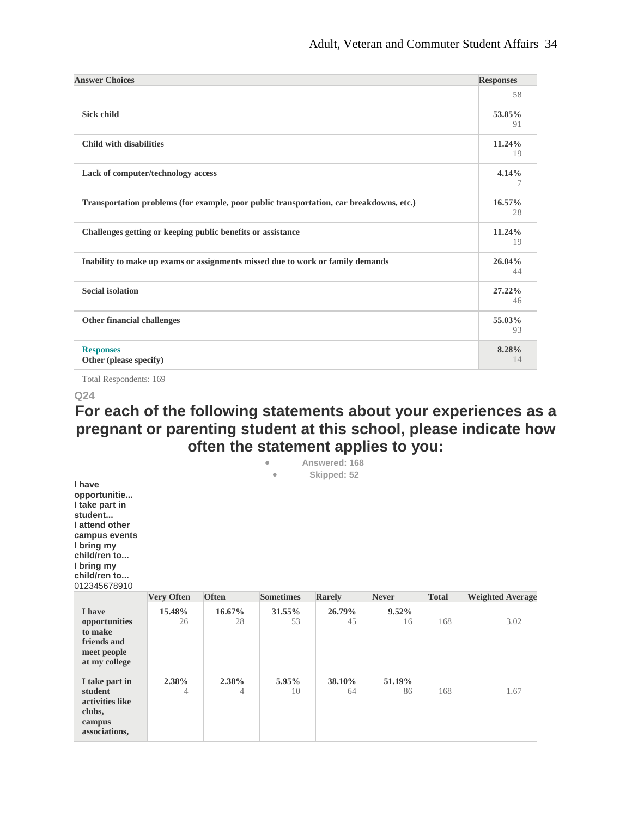| <b>Answer Choices</b>                                                                   | <b>Responses</b> |
|-----------------------------------------------------------------------------------------|------------------|
|                                                                                         | 58               |
| <b>Sick child</b>                                                                       | 53.85%<br>91     |
| <b>Child with disabilities</b>                                                          | 11.24%<br>19     |
| Lack of computer/technology access                                                      | 4.14%            |
| Transportation problems (for example, poor public transportation, car breakdowns, etc.) | 16.57%<br>28     |
| Challenges getting or keeping public benefits or assistance                             | 11.24%<br>19     |
| Inability to make up exams or assignments missed due to work or family demands          | 26.04%<br>44     |
| <b>Social isolation</b>                                                                 | 27.22%<br>46     |
| Other financial challenges                                                              | 55.03%<br>93     |
| <b>Responses</b><br>Other (please specify)                                              | 8.28%<br>14      |

Total Respondents: 169

#### **Q24**

### **For each of the following statements about your experiences as a pregnant or parenting student at this school, please indicate how often the statement applies to you:** • **Answered: 168**

|                                                                                                                                                                    |                         |              |                         | ANG TUU IVITA |                |              |                         |
|--------------------------------------------------------------------------------------------------------------------------------------------------------------------|-------------------------|--------------|-------------------------|---------------|----------------|--------------|-------------------------|
|                                                                                                                                                                    |                         |              | $\qquad \qquad \bullet$ | Skipped: 52   |                |              |                         |
| I have<br>opportunitie<br>I take part in<br>student<br>I attend other<br>campus events<br>I bring my<br>child/ren to<br>I bring my<br>child/ren to<br>012345678910 |                         |              |                         |               |                |              |                         |
|                                                                                                                                                                    | <b>Very Often</b>       | <b>Often</b> | <b>Sometimes</b>        | Rarely        | <b>Never</b>   | <b>Total</b> | <b>Weighted Average</b> |
| I have<br>opportunities<br>to make<br>friends and<br>meet people<br>at my college                                                                                  | 15.48%<br>26            | 16.67%<br>28 | 31.55%<br>53            | 26.79%<br>45  | $9.52\%$<br>16 | 168          | 3.02                    |
| I take part in<br>student<br>activities like<br>clubs,<br>campus<br>associations,                                                                                  | 2.38%<br>$\overline{4}$ | 2.38%<br>4   | 5.95%<br>10             | 38.10%<br>64  | 51.19%<br>86   | 168          | 1.67                    |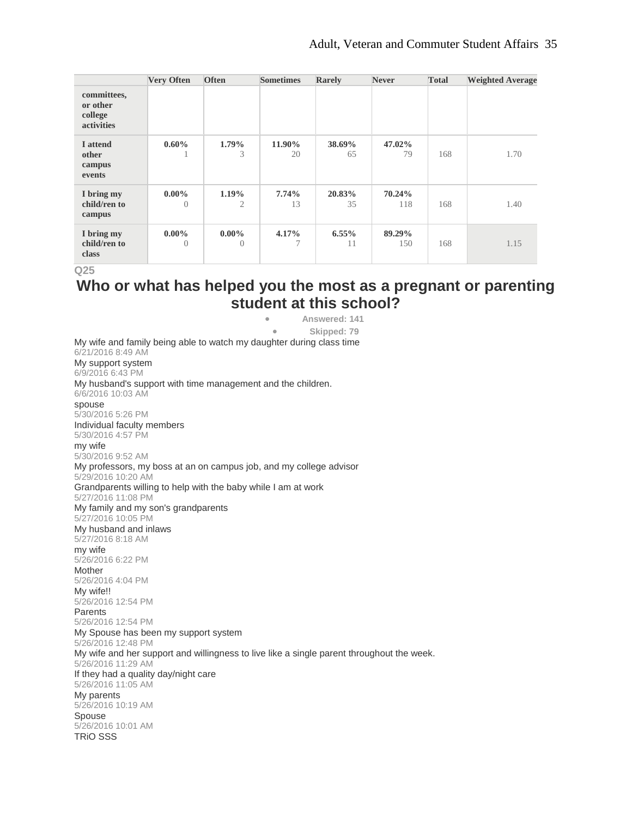|                                                  | <b>Very Often</b>    | <b>Often</b>               | <b>Sometimes</b> | Rarely         | <b>Never</b>  | <b>Total</b> | <b>Weighted Average</b> |
|--------------------------------------------------|----------------------|----------------------------|------------------|----------------|---------------|--------------|-------------------------|
| committees,<br>or other<br>college<br>activities |                      |                            |                  |                |               |              |                         |
| I attend<br>other<br>campus<br>events            | $0.60\%$             | 1.79%<br>3                 | 11.90%<br>20     | 38.69%<br>65   | 47.02%<br>79  | 168          | 1.70                    |
| I bring my<br>child/ren to<br>campus             | $0.00\%$<br>$\Omega$ | $1.19\%$<br>$\overline{2}$ | 7.74%<br>13      | 20.83%<br>35   | 70.24%<br>118 | 168          | 1.40                    |
| I bring my<br>child/ren to<br>class              | $0.00\%$<br>$\Omega$ | $0.00\%$<br>$\Omega$       | 4.17%            | $6.55\%$<br>11 | 89.29%<br>150 | 168          | 1.15                    |

## **Who or what has helped you the most as a pregnant or parenting student at this school?**

• **Answered: 141** • **Skipped: 79** My wife and family being able to watch my daughter during class time 6/21/2016 8:49 AM My support system 6/9/2016 6:43 PM My husband's support with time management and the children. 6/6/2016 10:03 AM spouse 5/30/2016 5:26 PM Individual faculty members 5/30/2016 4:57 PM my wife 5/30/2016 9:52 AM My professors, my boss at an on campus job, and my college advisor 5/29/2016 10:20 AM Grandparents willing to help with the baby while I am at work 5/27/2016 11:08 PM My family and my son's grandparents 5/27/2016 10:05 PM My husband and inlaws 5/27/2016 8:18 AM my wife 5/26/2016 6:22 PM Mother 5/26/2016 4:04 PM My wife!! 5/26/2016 12:54 PM Parents 5/26/2016 12:54 PM My Spouse has been my support system 5/26/2016 12:48 PM My wife and her support and willingness to live like a single parent throughout the week. 5/26/2016 11:29 AM If they had a quality day/night care 5/26/2016 11:05 AM My parents 5/26/2016 10:19 AM Spouse 5/26/2016 10:01 AM TRiO SSS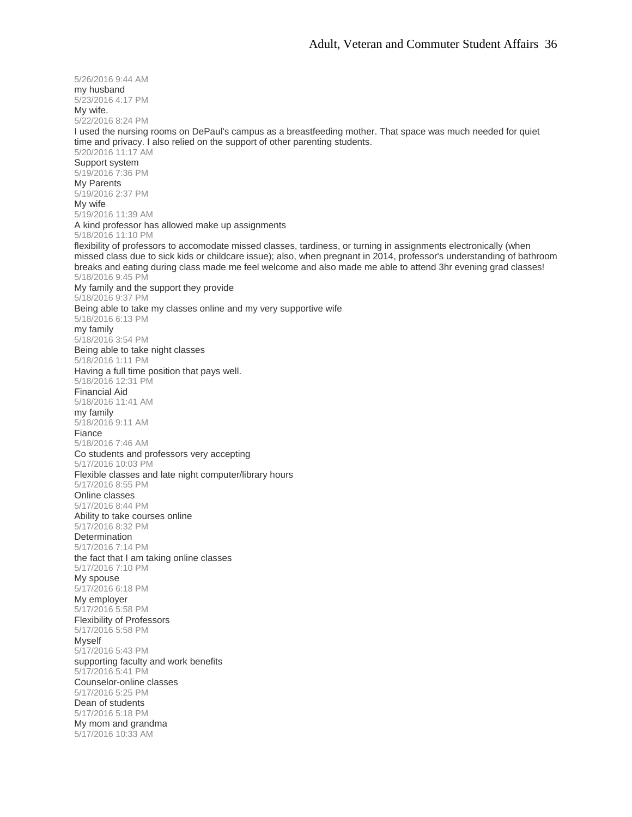5/26/2016 9:44 AM my husband 5/23/2016 4:17 PM My wife. 5/22/2016 8:24 PM I used the nursing rooms on DePaul's campus as a breastfeeding mother. That space was much needed for quiet time and privacy. I also relied on the support of other parenting students. 5/20/2016 11:17 AM Support system 5/19/2016 7:36 PM My Parents 5/19/2016 2:37 PM My wife 5/19/2016 11:39 AM A kind professor has allowed make up assignments 5/18/2016 11:10 PM flexibility of professors to accomodate missed classes, tardiness, or turning in assignments electronically (when missed class due to sick kids or childcare issue); also, when pregnant in 2014, professor's understanding of bathroom breaks and eating during class made me feel welcome and also made me able to attend 3hr evening grad classes! 5/18/2016 9:45 PM My family and the support they provide 5/18/2016 9:37 PM Being able to take my classes online and my very supportive wife 5/18/2016 6:13 PM my family 5/18/2016 3:54 PM Being able to take night classes 5/18/2016 1:11 PM Having a full time position that pays well. 5/18/2016 12:31 PM Financial Aid 5/18/2016 11:41 AM my family 5/18/2016 9:11 AM Fiance 5/18/2016 7:46 AM Co students and professors very accepting 5/17/2016 10:03 PM Flexible classes and late night computer/library hours 5/17/2016 8:55 PM Online classes 5/17/2016 8:44 PM Ability to take courses online 5/17/2016 8:32 PM **Determination** 5/17/2016 7:14 PM the fact that I am taking online classes 5/17/2016 7:10 PM My spouse 5/17/2016 6:18 PM My employer 5/17/2016 5:58 PM Flexibility of Professors 5/17/2016 5:58 PM **M**yself 5/17/2016 5:43 PM supporting faculty and work benefits 5/17/2016 5:41 PM Counselor-online classes 5/17/2016 5:25 PM Dean of students 5/17/2016 5:18 PM My mom and grandma 5/17/2016 10:33 AM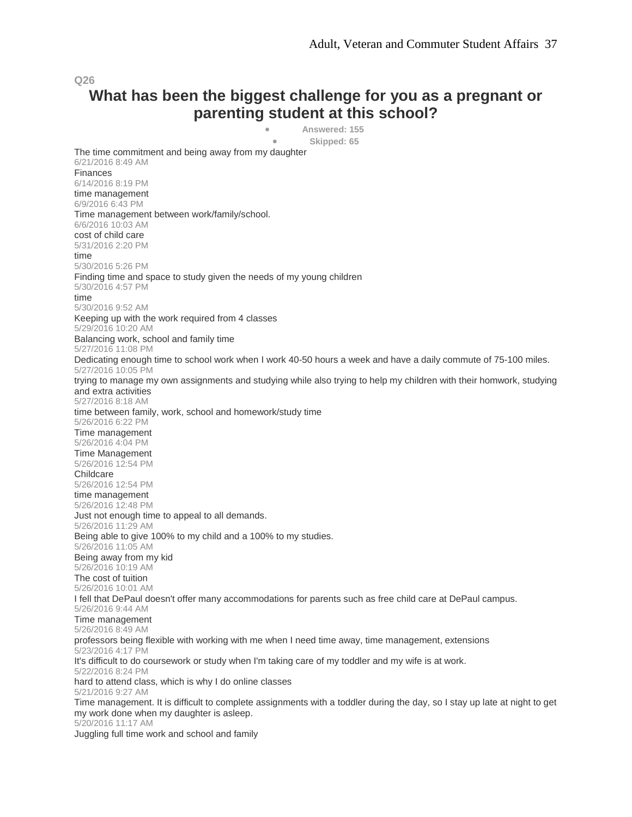## **What has been the biggest challenge for you as a pregnant or parenting student at this school?**

• **Answered: 155**

• **Skipped: 65**

The time commitment and being away from my daughter 6/21/2016 8:49 AM Finances 6/14/2016 8:19 PM time management 6/9/2016 6:43 PM Time management between work/family/school. 6/6/2016 10:03 AM cost of child care 5/31/2016 2:20 PM time 5/30/2016 5:26 PM Finding time and space to study given the needs of my young children 5/30/2016 4:57 PM time 5/30/2016 9:52 AM Keeping up with the work required from 4 classes 5/29/2016 10:20 AM Balancing work, school and family time 5/27/2016 11:08 PM Dedicating enough time to school work when I work 40-50 hours a week and have a daily commute of 75-100 miles. 5/27/2016 10:05 PM trying to manage my own assignments and studying while also trying to help my children with their homwork, studying and extra activities 5/27/2016 8:18 AM time between family, work, school and homework/study time 5/26/2016 6:22 PM Time management 5/26/2016 4:04 PM Time Management 5/26/2016 12:54 PM **Childcare** 5/26/2016 12:54 PM time management 5/26/2016 12:48 PM Just not enough time to appeal to all demands. 5/26/2016 11:29 AM Being able to give 100% to my child and a 100% to my studies. 5/26/2016 11:05 AM Being away from my kid 5/26/2016 10:19 AM The cost of tuition 5/26/2016 10:01 AM I fell that DePaul doesn't offer many accommodations for parents such as free child care at DePaul campus. 5/26/2016 9:44 AM Time management 5/26/2016 8:49 AM professors being flexible with working with me when I need time away, time management, extensions 5/23/2016 4:17 PM It's difficult to do coursework or study when I'm taking care of my toddler and my wife is at work. 5/22/2016 8:24 PM hard to attend class, which is why I do online classes 5/21/2016 9:27 AM Time management. It is difficult to complete assignments with a toddler during the day, so I stay up late at night to get my work done when my daughter is asleep. 5/20/2016 11:17 AM Juggling full time work and school and family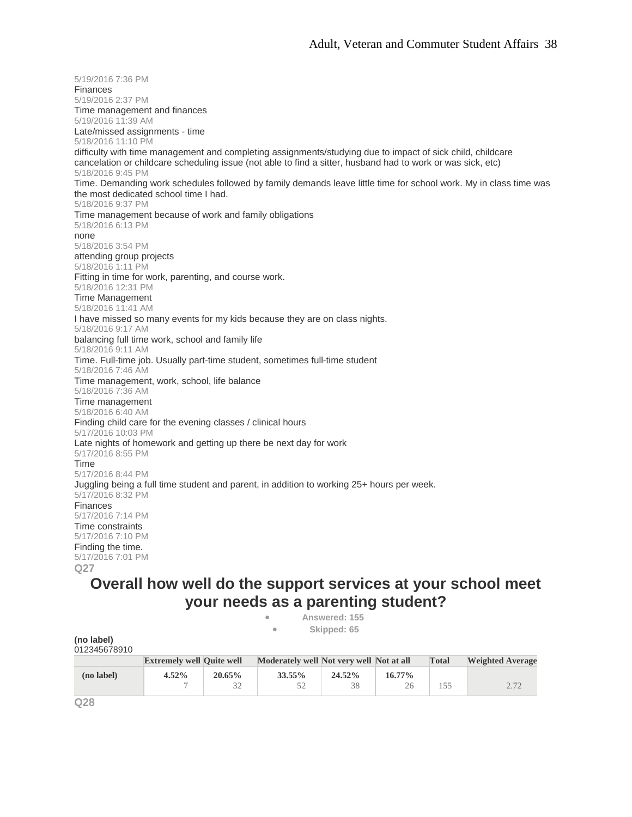5/19/2016 7:36 PM Finances 5/19/2016 2:37 PM Time management and finances 5/19/2016 11:39 AM Late/missed assignments - time 5/18/2016 11:10 PM difficulty with time management and completing assignments/studying due to impact of sick child, childcare cancelation or childcare scheduling issue (not able to find a sitter, husband had to work or was sick, etc) 5/18/2016 9:45 PM Time. Demanding work schedules followed by family demands leave little time for school work. My in class time was the most dedicated school time I had. 5/18/2016 9:37 PM Time management because of work and family obligations 5/18/2016 6:13 PM none 5/18/2016 3:54 PM attending group projects 5/18/2016 1:11 PM Fitting in time for work, parenting, and course work. 5/18/2016 12:31 PM Time Management 5/18/2016 11:41 AM I have missed so many events for my kids because they are on class nights. 5/18/2016 9:17 AM balancing full time work, school and family life 5/18/2016 9:11 AM Time. Full-time job. Usually part-time student, sometimes full-time student 5/18/2016 7:46 AM Time management, work, school, life balance 5/18/2016 7:36 AM Time management 5/18/2016 6:40 AM Finding child care for the evening classes / clinical hours 5/17/2016 10:03 PM Late nights of homework and getting up there be next day for work 5/17/2016 8:55 PM Time 5/17/2016 8:44 PM Juggling being a full time student and parent, in addition to working 25+ hours per week. 5/17/2016 8:32 PM Finances 5/17/2016 7:14 PM Time constraints 5/17/2016 7:10 PM Finding the time. 5/17/2016 7:01 PM **Q27**

## **Overall how well do the support services at your school meet your needs as a parenting student?**

• **Answered: 155** • **Skipped: 65**

| (no label)<br>012345678910 |                                  |           |                                          |        |           |              |                         |
|----------------------------|----------------------------------|-----------|------------------------------------------|--------|-----------|--------------|-------------------------|
|                            | <b>Extremely well Quite well</b> |           | Moderately well Not very well Not at all |        |           | <b>Total</b> | <b>Weighted Average</b> |
| (no label)                 | $4.52\%$                         | $20.65\%$ | 33.55%                                   | 24.52% | $16.77\%$ |              |                         |
|                            |                                  |           | 52                                       | 38     | 26        | 155          | 2.72                    |

**Q28**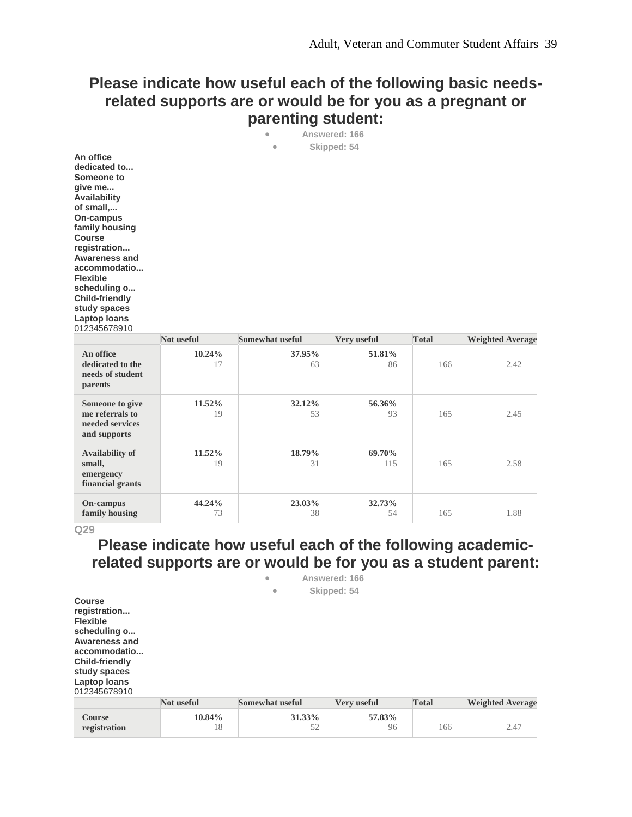## **Please indicate how useful each of the following basic needsrelated supports are or would be for you as a pregnant or parenting student:**

| ۰         | Answered: 166 |  |
|-----------|---------------|--|
| $\bullet$ | Skipped: 54   |  |

**An office dedicated to... Someone to give me... Availability of small,... On-campus family housing Course registration... Awareness and accommodatio... Flexible scheduling o... Child-friendly study spaces Laptop loans** 012345678910

|                                                                       | Not useful      | <b>Somewhat useful</b> | Very useful   | <b>Total</b> | <b>Weighted Average</b> |
|-----------------------------------------------------------------------|-----------------|------------------------|---------------|--------------|-------------------------|
| An office<br>dedicated to the<br>needs of student<br><b>parents</b>   | $10.24\%$<br>17 | 37.95%<br>63           | 51.81%<br>86  | 166          | 2.42                    |
| Someone to give<br>me referrals to<br>needed services<br>and supports | $11.52\%$<br>19 | 32.12%<br>53           | 56.36%<br>93  | 165          | 2.45                    |
| <b>Availability of</b><br>small,<br>emergency<br>financial grants     | $11.52\%$<br>19 | 18.79%<br>31           | 69.70%<br>115 | 165          | 2.58                    |
| <b>On-campus</b><br>family housing                                    | 44.24%<br>73    | 23.03%<br>38           | 32.73%<br>54  | 165          | 1.88                    |

**Q29**

## **Please indicate how useful each of the following academicrelated supports are or would be for you as a student parent:**

| <b>Course</b><br>registration<br><b>Flexible</b><br>scheduling o<br><b>Awareness and</b><br>accommodatio<br><b>Child-friendly</b><br>study spaces<br>Laptop loans<br>012345678910 |              | ۰<br>$\bullet$         | Answered: 166<br>Skipped: 54 |              |                         |
|-----------------------------------------------------------------------------------------------------------------------------------------------------------------------------------|--------------|------------------------|------------------------------|--------------|-------------------------|
|                                                                                                                                                                                   | Not useful   | <b>Somewhat useful</b> | Very useful                  | <b>Total</b> | <b>Weighted Average</b> |
| <b>Course</b><br>registration                                                                                                                                                     | 10.84%<br>18 | 31.33%<br>52           | 57.83%<br>96                 | 166          | 2.47                    |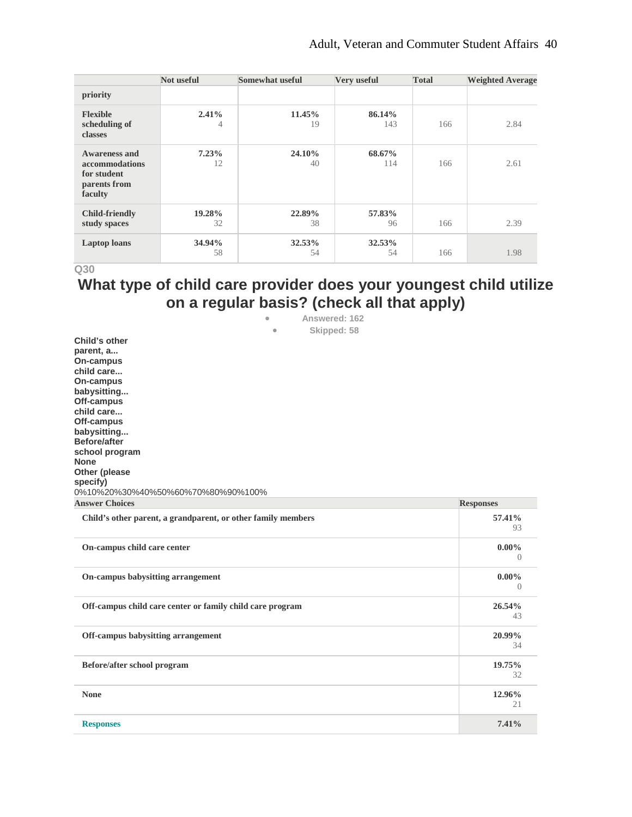|                                                                                  | Not useful   | <b>Somewhat useful</b> | Very useful   | <b>Total</b> | <b>Weighted Average</b> |
|----------------------------------------------------------------------------------|--------------|------------------------|---------------|--------------|-------------------------|
| priority                                                                         |              |                        |               |              |                         |
| <b>Flexible</b><br>scheduling of<br>classes                                      | 2.41%<br>4   | 11.45%<br>19           | 86.14%<br>143 | 166          | 2.84                    |
| <b>Awareness and</b><br>accommodations<br>for student<br>parents from<br>faculty | 7.23%<br>12  | 24.10%<br>40           | 68.67%<br>114 | 166          | 2.61                    |
| <b>Child-friendly</b><br>study spaces                                            | 19.28%<br>32 | 22.89%<br>38           | 57.83%<br>96  | 166          | 2.39                    |
| <b>Laptop</b> loans                                                              | 34.94%<br>58 | 32.53%<br>54           | 32.53%<br>54  | 166          | 1.98                    |

# **What type of child care provider does your youngest child utilize on a regular basis? (check all that apply)**

• **Answered: 162**

| Skipped: 58<br>$\bullet$                                                                                                                                                                                                        |                       |
|---------------------------------------------------------------------------------------------------------------------------------------------------------------------------------------------------------------------------------|-----------------------|
| Child's other<br>parent, a<br>On-campus<br>child care<br>On-campus<br>babysitting<br>Off-campus<br>child care<br>Off-campus<br>babysitting<br><b>Before/after</b><br>school program<br><b>None</b><br>Other (please<br>specify) |                       |
| 0%10%20%30%40%50%60%70%80%90%100%<br><b>Answer Choices</b>                                                                                                                                                                      | <b>Responses</b>      |
| Child's other parent, a grandparent, or other family members                                                                                                                                                                    | 57.41%<br>93          |
| On-campus child care center                                                                                                                                                                                                     | $0.00\%$<br>$\bigcap$ |
| On-campus babysitting arrangement                                                                                                                                                                                               | $0.00\%$<br>$\left($  |
| Off-campus child care center or family child care program                                                                                                                                                                       | 26.54%<br>43          |
| Off-campus babysitting arrangement                                                                                                                                                                                              | 20.99%<br>34          |
| Before/after school program                                                                                                                                                                                                     | 19.75%<br>32          |
| <b>None</b>                                                                                                                                                                                                                     | 12.96%<br>21          |
| <b>Responses</b>                                                                                                                                                                                                                | 7.41%                 |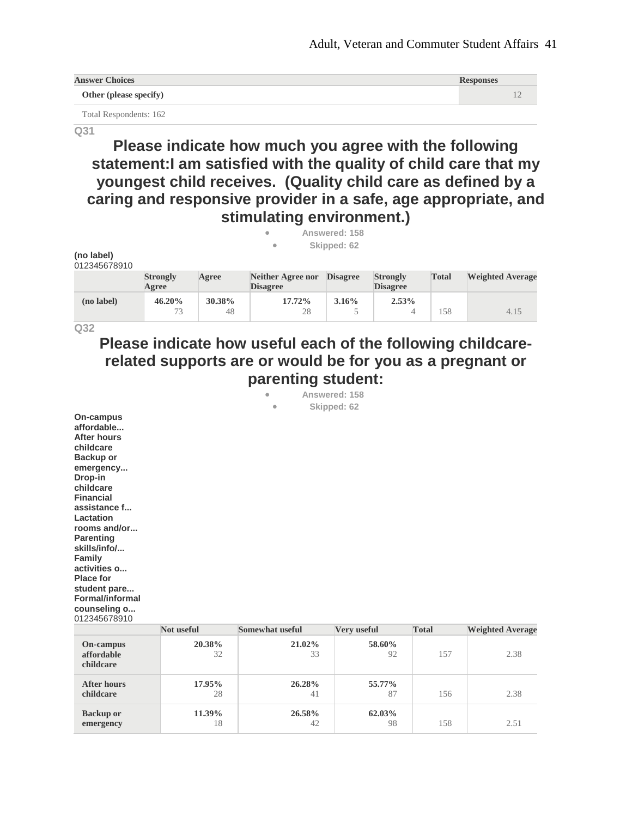| <b>Answer Choices</b>  | <b>Responses</b> |
|------------------------|------------------|
| Other (please specify) |                  |
| Total Respondents: 162 |                  |

**Please indicate how much you agree with the following statement:I am satisfied with the quality of child care that my youngest child receives. (Quality child care as defined by a caring and responsive provider in a safe, age appropriate, and stimulating environment.)**

|                            |                          |              | ۰<br>$\bullet$                              | Answered: 158<br>Skipped: 62 |                                    |              |                         |
|----------------------------|--------------------------|--------------|---------------------------------------------|------------------------------|------------------------------------|--------------|-------------------------|
| (no label)<br>012345678910 |                          |              |                                             |                              |                                    |              |                         |
|                            | <b>Strongly</b><br>Agree | Agree        | <b>Neither Agree nor</b><br><b>Disagree</b> | <b>Disagree</b>              | <b>Strongly</b><br><b>Disagree</b> | <b>Total</b> | <b>Weighted Average</b> |
| (no label)                 | 46.20%<br>73             | 30.38%<br>48 | 17.72%<br>28                                | $3.16\%$                     | $2.53\%$<br>4                      | 158          | 4.15                    |

**Q32**

## **Please indicate how useful each of the following childcarerelated supports are or would be for you as a pregnant or parenting student:**

• **Answered: 158**

• **Skipped: 62**

**On-campus affordable... After hours childcare Backup or emergency... Drop-in childcare Financial assistance f... Lactation rooms and/or... Parenting skills/info/... Family activities o... Place for student pare... Formal/informal counseling o...** 012345678910

| ------------                                |                   |                 |              |              |                         |
|---------------------------------------------|-------------------|-----------------|--------------|--------------|-------------------------|
|                                             | <b>Not useful</b> | Somewhat useful | Very useful  | <b>Total</b> | <b>Weighted Average</b> |
| <b>On-campus</b><br>affordable<br>childcare | 20.38%<br>32      | 21.02%<br>33    | 58.60%<br>92 | 157          | 2.38                    |
| <b>After hours</b><br>childcare             | 17.95%<br>28      | 26.28%<br>41    | 55.77%<br>87 | 156          | 2.38                    |
| <b>Backup or</b><br>emergency               | 11.39%<br>18      | 26.58%<br>42    | 62.03%<br>98 | 158          | 2.51                    |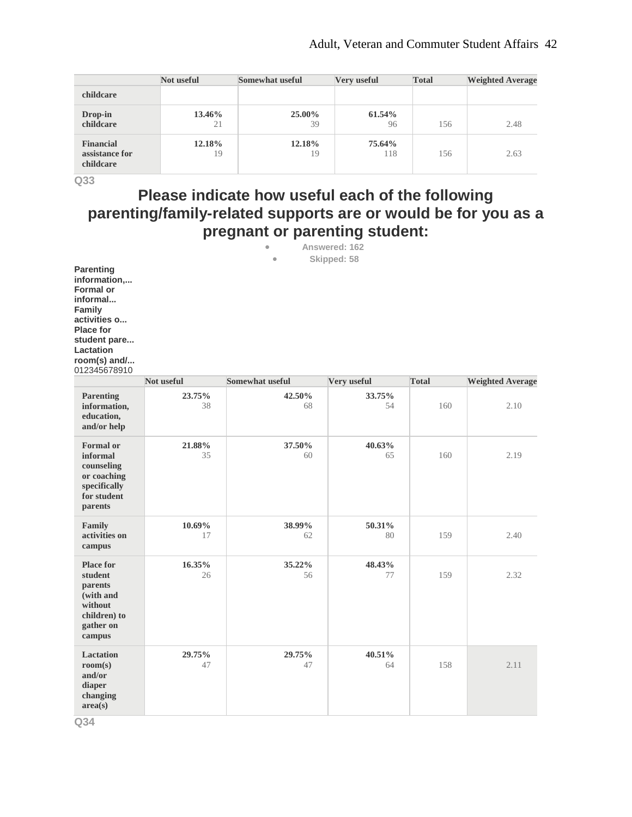|                                                 | Not useful   | <b>Somewhat useful</b> | Very useful   | <b>Total</b> | <b>Weighted Average</b> |
|-------------------------------------------------|--------------|------------------------|---------------|--------------|-------------------------|
| childcare                                       |              |                        |               |              |                         |
| Drop-in<br>childcare                            | 13.46%<br>21 | 25.00%<br>39           | 61.54%<br>96  | 156          | 2.48                    |
| <b>Financial</b><br>assistance for<br>childcare | 12.18%<br>19 | 12.18%<br>19           | 75.64%<br>118 | 156          | 2.63                    |

# **Please indicate how useful each of the following parenting/family-related supports are or would be for you as a pregnant or parenting student:**

- **Answered: 162**
	- **Skipped: 58**

**Parenting information,... Formal or informal... Family activities o... Place for student pare... Lactation room(s) and/...** 012345678910

|                                                                                                       | Not useful   | <b>Somewhat useful</b> | Very useful  | <b>Total</b> | <b>Weighted Average</b> |
|-------------------------------------------------------------------------------------------------------|--------------|------------------------|--------------|--------------|-------------------------|
| <b>Parenting</b><br>information,<br>education,<br>and/or help                                         | 23.75%<br>38 | 42.50%<br>68           | 33.75%<br>54 | 160          | 2.10                    |
| <b>Formal</b> or<br>informal<br>counseling<br>or coaching<br>specifically<br>for student<br>parents   | 21.88%<br>35 | 37.50%<br>60           | 40.63%<br>65 | 160          | 2.19                    |
| Family<br>activities on<br>campus                                                                     | 10.69%<br>17 | 38.99%<br>62           | 50.31%<br>80 | 159          | 2.40                    |
| <b>Place for</b><br>student<br>parents<br>(with and<br>without<br>children) to<br>gather on<br>campus | 16.35%<br>26 | 35.22%<br>56           | 48.43%<br>77 | 159          | 2.32                    |
| <b>Lactation</b><br>room(s)<br>and/or<br>diaper<br>changing<br>area(s)                                | 29.75%<br>47 | 29.75%<br>47           | 40.51%<br>64 | 158          | 2.11                    |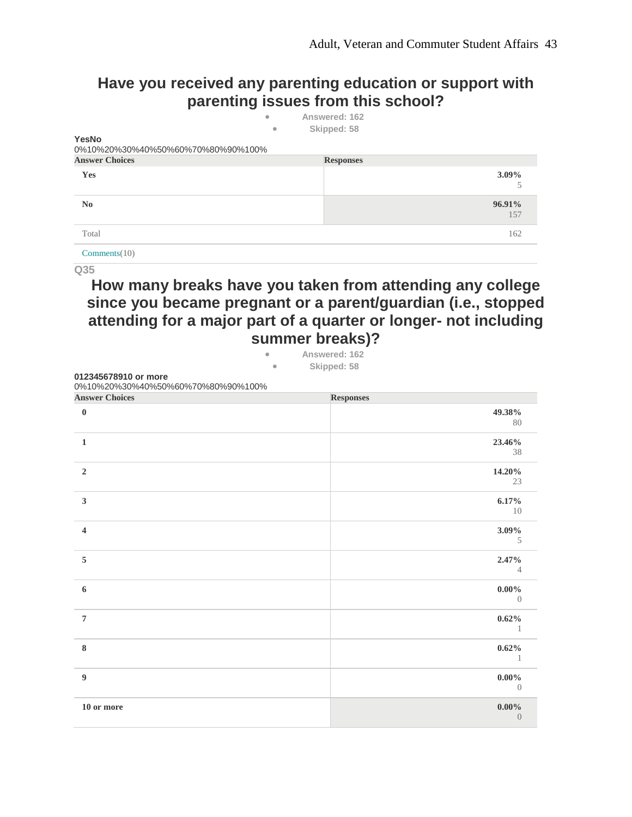0

## **Have you received any parenting education or support with parenting issues from this school?**

| YesNo<br>0%10%20%30%40%50%60%70%80%90%100% | $\qquad \qquad \bullet$<br>$\bullet$ | Answered: 162<br>Skipped: 58 |               |
|--------------------------------------------|--------------------------------------|------------------------------|---------------|
| <b>Answer Choices</b>                      |                                      | <b>Responses</b>             |               |
| Yes                                        |                                      |                              | $3.09\%$<br>5 |
| $\mathbf{N}\mathbf{0}$                     |                                      |                              | 96.91%<br>157 |
| Total                                      |                                      |                              | 162           |
| Comments(10)                               |                                      |                              |               |

**Q35**

## **How many breaks have you taken from attending any college since you became pregnant or a parent/guardian (i.e., stopped attending for a major part of a quarter or longer- not including summer breaks)?**

| 012345678910 or more              | Skipped: 58<br>$\bullet$ |                  |
|-----------------------------------|--------------------------|------------------|
| 0%10%20%30%40%50%60%70%80%90%100% |                          |                  |
| <b>Answer Choices</b>             | <b>Responses</b>         |                  |
| $\bf{0}$                          |                          | 49.38%           |
|                                   |                          | 80               |
| $\mathbf{1}$                      |                          | 23.46%           |
|                                   |                          | 38               |
| $\overline{2}$                    |                          | 14.20%           |
|                                   |                          | 23               |
| $\mathbf{3}$                      |                          | 6.17%            |
|                                   |                          | 10               |
| $\overline{\mathbf{4}}$           |                          | 3.09%            |
|                                   |                          | 5                |
| 5                                 |                          | 2.47%            |
|                                   |                          | $\overline{4}$   |
| 6                                 |                          | $0.00\%$         |
|                                   |                          | $\left( \right)$ |
| $\overline{7}$                    |                          | $0.62\%$         |
|                                   |                          | $\mathbf{1}$     |
| $\bf{8}$                          |                          | $0.62\%$         |
|                                   |                          | 1                |
| $\boldsymbol{9}$                  |                          | $0.00\%$         |
|                                   |                          | $\overline{0}$   |

**10 or more 0.00%**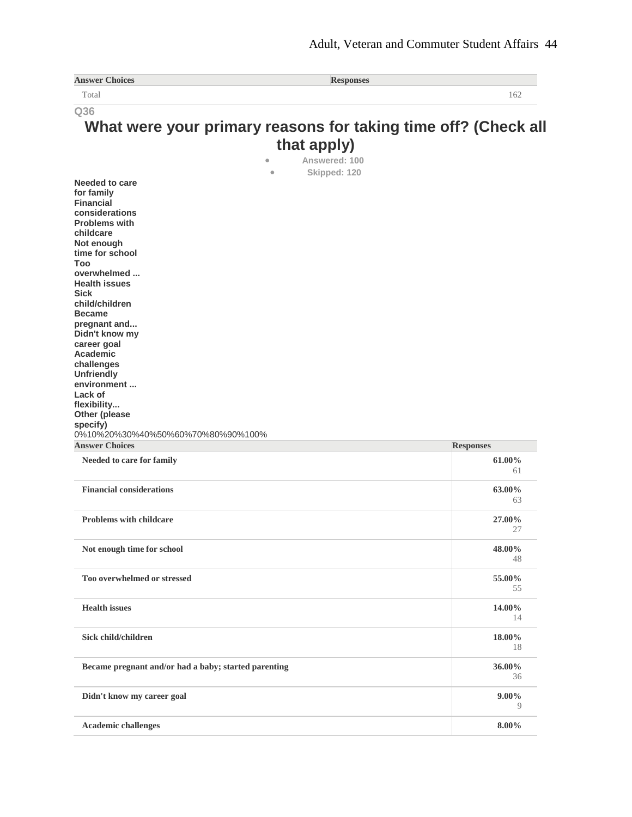| <b>Answer Choices</b>                                      | <b>Responses</b>                                               |                  |
|------------------------------------------------------------|----------------------------------------------------------------|------------------|
| Total                                                      |                                                                | 162              |
| Q36                                                        |                                                                |                  |
|                                                            | What were your primary reasons for taking time off? (Check all |                  |
|                                                            | that apply)                                                    |                  |
|                                                            | Answered: 100<br>$\bullet$                                     |                  |
|                                                            | Skipped: 120<br>$\bullet$                                      |                  |
| <b>Needed to care</b>                                      |                                                                |                  |
| for family                                                 |                                                                |                  |
| <b>Financial</b>                                           |                                                                |                  |
| considerations<br><b>Problems with</b>                     |                                                                |                  |
| childcare                                                  |                                                                |                  |
| Not enough                                                 |                                                                |                  |
| time for school<br>Too                                     |                                                                |                  |
| overwhelmed                                                |                                                                |                  |
| <b>Health issues</b>                                       |                                                                |                  |
| <b>Sick</b>                                                |                                                                |                  |
| child/children<br><b>Became</b>                            |                                                                |                  |
| pregnant and                                               |                                                                |                  |
| Didn't know my                                             |                                                                |                  |
| career goal                                                |                                                                |                  |
| Academic<br>challenges                                     |                                                                |                  |
| <b>Unfriendly</b>                                          |                                                                |                  |
| environment                                                |                                                                |                  |
| Lack of<br>flexibility                                     |                                                                |                  |
| Other (please                                              |                                                                |                  |
| specify)                                                   |                                                                |                  |
| 0%10%20%30%40%50%60%70%80%90%100%<br><b>Answer Choices</b> |                                                                |                  |
|                                                            |                                                                | <b>Responses</b> |
| Needed to care for family                                  |                                                                | 61.00%<br>61     |
|                                                            |                                                                |                  |
| <b>Financial considerations</b>                            |                                                                | 63.00%           |
|                                                            |                                                                | 63               |
| <b>Problems with childcare</b>                             |                                                                | 27.00%           |
|                                                            |                                                                | 27               |
| Not enough time for school                                 |                                                                | 48.00%           |
|                                                            |                                                                | 48               |
|                                                            |                                                                |                  |
| Too overwhelmed or stressed                                |                                                                | 55.00%<br>55     |
|                                                            |                                                                |                  |
| <b>Health</b> issues                                       |                                                                | 14.00%           |
|                                                            |                                                                | 14               |
| Sick child/children                                        |                                                                | 18.00%           |
|                                                            |                                                                | 18               |
|                                                            |                                                                |                  |
| Became pregnant and/or had a baby; started parenting       |                                                                | 36.00%<br>36     |
|                                                            |                                                                |                  |
| Didn't know my career goal                                 |                                                                | $9.00\%$         |
|                                                            |                                                                | 9                |
| <b>Academic challenges</b>                                 |                                                                | 8.00%            |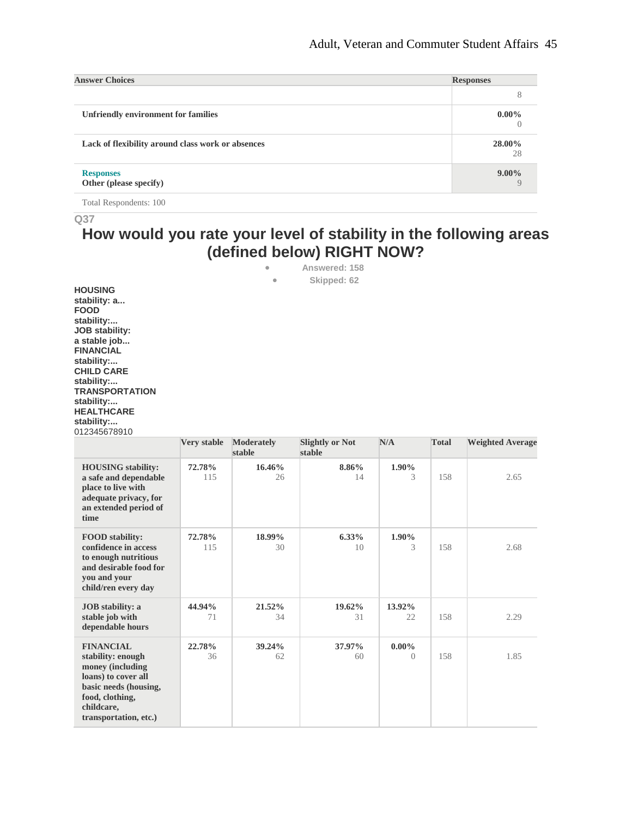| <b>Answer Choices</b>                             | <b>Responses</b> |
|---------------------------------------------------|------------------|
|                                                   |                  |
| Unfriendly environment for families               | $0.00\%$         |
| Lack of flexibility around class work or absences | 28.00%<br>28     |
| <b>Responses</b><br>Other (please specify)        | $9.00\%$         |

Total Respondents: 100

**Q37**

## **How would you rate your level of stability in the following areas (defined below) RIGHT NOW?**

• **Answered: 158**

• **Skipped: 62**

**HOUSING stability: a... FOOD stability:... JOB stability: a stable job... FINANCIAL stability:... CHILD CARE stability:... TRANSPORTATION stability:... HEALTHCARE stability:...** 012345678910

|                                                                                                                                                                     | Very stable   | <b>Moderately</b><br>stable | <b>Slightly or Not</b><br>stable | N/A                  | <b>Total</b> | <b>Weighted Average</b> |
|---------------------------------------------------------------------------------------------------------------------------------------------------------------------|---------------|-----------------------------|----------------------------------|----------------------|--------------|-------------------------|
| <b>HOUSING</b> stability:<br>a safe and dependable<br>place to live with<br>adequate privacy, for<br>an extended period of<br>time                                  | 72.78%<br>115 | 16.46%<br>26                | 8.86%<br>14                      | $1.90\%$<br>3        | 158          | 2.65                    |
| <b>FOOD</b> stability:<br>confidence in access<br>to enough nutritious<br>and desirable food for<br>you and your<br>child/ren every day                             | 72.78%<br>115 | 18.99%<br>30                | $6.33\%$<br>10 <sup>2</sup>      | 1.90%<br>3           | 158          | 2.68                    |
| <b>JOB</b> stability: a<br>stable job with<br>dependable hours                                                                                                      | 44.94%<br>71  | 21.52%<br>34                | 19.62%<br>31                     | 13.92%<br>22         | 158          | 2.29                    |
| <b>FINANCIAL</b><br>stability: enough<br>money (including<br>loans) to cover all<br>basic needs (housing,<br>food, clothing,<br>childcare,<br>transportation, etc.) | 22.78%<br>36  | 39.24%<br>62                | 37.97%<br>60                     | $0.00\%$<br>$\Omega$ | 158          | 1.85                    |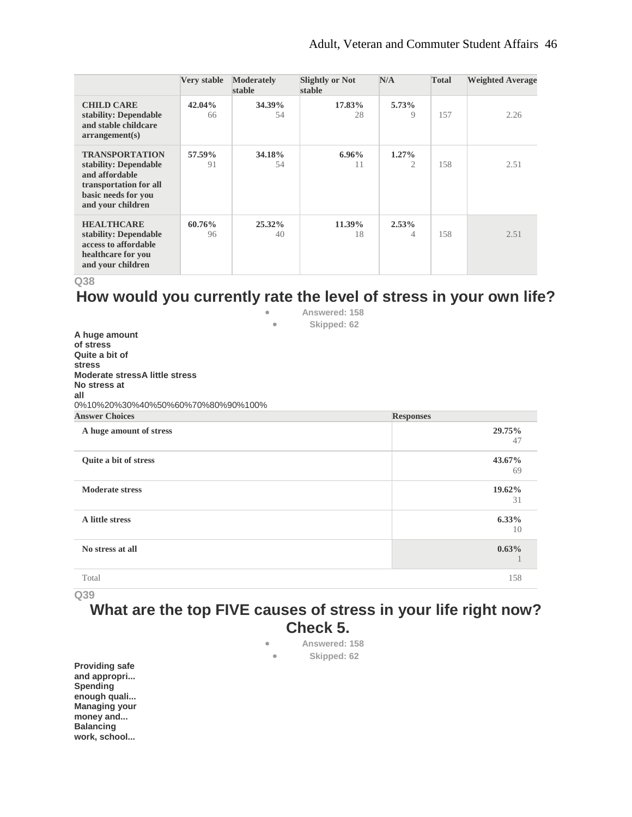|                                                                                                                                        | <b>Very stable</b> | <b>Moderately</b><br>stable | <b>Slightly or Not</b><br>stable | N/A                        | <b>Total</b> | <b>Weighted Average</b> |
|----------------------------------------------------------------------------------------------------------------------------------------|--------------------|-----------------------------|----------------------------------|----------------------------|--------------|-------------------------|
| <b>CHILD CARE</b><br>stability: Dependable<br>and stable childcare<br>arrangement(s)                                                   | 42.04%<br>66       | 34.39%<br>54                | 17.83%<br>28                     | 5.73%<br>9                 | 157          | 2.26                    |
| <b>TRANSPORTATION</b><br>stability: Dependable<br>and affordable<br>transportation for all<br>basic needs for you<br>and your children | 57.59%<br>91       | 34.18%<br>54                | $6.96\%$<br>11                   | $1.27\%$<br>$\mathfrak{2}$ | 158          | 2.51                    |
| <b>HEALTHCARE</b><br>stability: Dependable<br>access to affordable<br>healthcare for you<br>and your children                          | 60.76%<br>96       | $25.32\%$<br>40             | 11.39%<br>18                     | $2.53\%$<br>4              | 158          | 2.51                    |

**Q38**

### **How would you currently rate the level of stress in your own life?** • **Answered: 158**

|                                       | $\bullet$ | Skipped: 62 |                  |
|---------------------------------------|-----------|-------------|------------------|
| A huge amount                         |           |             |                  |
| of stress                             |           |             |                  |
| Quite a bit of                        |           |             |                  |
| <b>stress</b>                         |           |             |                  |
| <b>Moderate stressA little stress</b> |           |             |                  |
| No stress at                          |           |             |                  |
| all                                   |           |             |                  |
| 0%10%20%30%40%50%60%70%80%90%100%     |           |             |                  |
| <b>Answer Choices</b>                 |           |             | <b>Responses</b> |
| A huge amount of stress               |           |             | 29.75%           |
|                                       |           |             | 47               |
| Quite a bit of stress                 |           |             | 43.67%           |
|                                       |           |             | 69               |
| <b>Moderate stress</b>                |           |             | 19.62%           |
|                                       |           |             | 31               |
| A little stress                       |           |             | $6.33\%$         |
|                                       |           |             | 10               |
| No stress at all                      |           |             | 0.63%            |
|                                       |           |             |                  |
| Total                                 |           |             | 158              |
|                                       |           |             |                  |

**Q39**

## **What are the top FIVE causes of stress in your life right now? Check 5.**

- **Answered: 158**
- **Skipped: 62**

**Providing safe and appropri... Spending enough quali... Managing your money and... Balancing work, school...**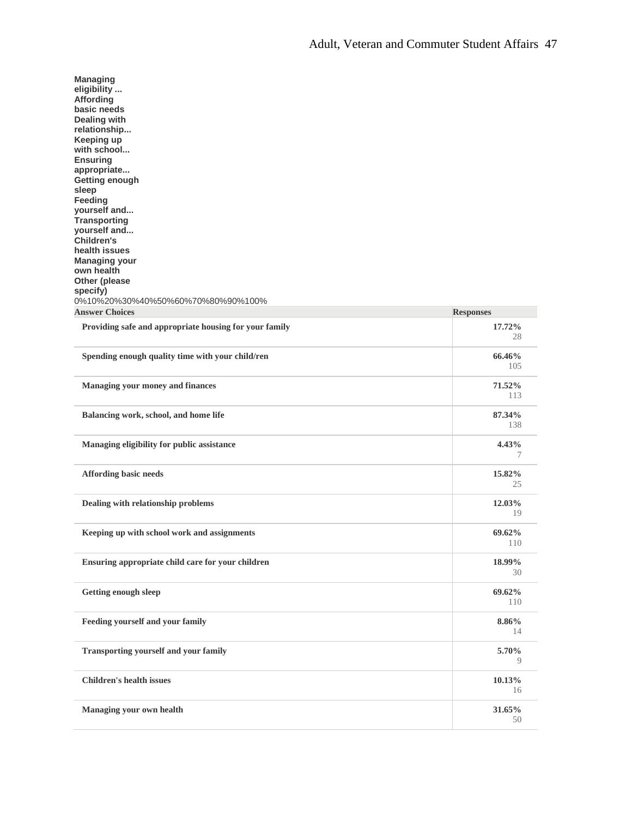| <b>Managing</b><br>eligibility<br>Affording<br>basic needs<br><b>Dealing with</b><br>relationship<br>Keeping up<br>with school<br><b>Ensuring</b><br>appropriate<br>Getting enough<br>sleep<br>Feeding<br>yourself and<br><b>Transporting</b><br>yourself and<br><b>Children's</b><br>health issues<br><b>Managing your</b><br>own health<br>Other (please<br>specify) |                  |
|------------------------------------------------------------------------------------------------------------------------------------------------------------------------------------------------------------------------------------------------------------------------------------------------------------------------------------------------------------------------|------------------|
| 0%10%20%30%40%50%60%70%80%90%100%                                                                                                                                                                                                                                                                                                                                      |                  |
| <b>Answer Choices</b>                                                                                                                                                                                                                                                                                                                                                  | <b>Responses</b> |
| Providing safe and appropriate housing for your family                                                                                                                                                                                                                                                                                                                 | 17.72%<br>28     |
| Spending enough quality time with your child/ren                                                                                                                                                                                                                                                                                                                       | 66.46%<br>105    |
| <b>Managing your money and finances</b>                                                                                                                                                                                                                                                                                                                                | 71.52%<br>113    |
| Balancing work, school, and home life                                                                                                                                                                                                                                                                                                                                  | 87.34%<br>138    |
| Managing eligibility for public assistance                                                                                                                                                                                                                                                                                                                             | 4.43%<br>7       |
| <b>Affording basic needs</b>                                                                                                                                                                                                                                                                                                                                           | 15.82%<br>25     |
| Dealing with relationship problems                                                                                                                                                                                                                                                                                                                                     | 12.03%<br>19     |
| Keeping up with school work and assignments                                                                                                                                                                                                                                                                                                                            | 69.62%<br>110    |
| Ensuring appropriate child care for your children                                                                                                                                                                                                                                                                                                                      | 18.99%<br>30     |
| <b>Getting enough sleep</b>                                                                                                                                                                                                                                                                                                                                            | 69.62%<br>110    |
| Feeding yourself and your family                                                                                                                                                                                                                                                                                                                                       | 8.86%<br>14      |
| <b>Transporting yourself and your family</b>                                                                                                                                                                                                                                                                                                                           | 5.70%<br>9       |
| <b>Children's health issues</b>                                                                                                                                                                                                                                                                                                                                        | 10.13%<br>16     |
| Managing your own health                                                                                                                                                                                                                                                                                                                                               | 31.65%<br>50     |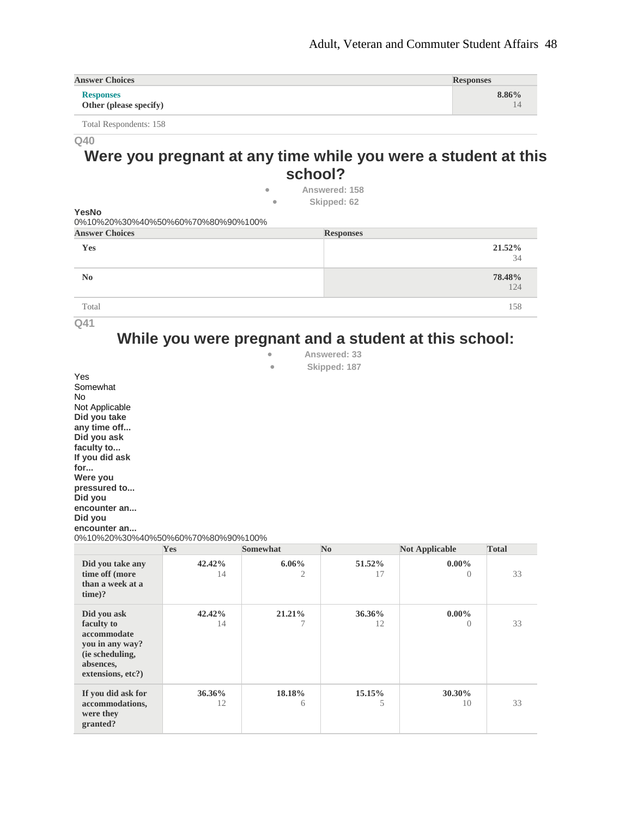| <b>Answer Choices</b>                      | <b>Responses</b> |
|--------------------------------------------|------------------|
| <b>Responses</b><br>Other (please specify) | $8.86\%$         |

Total Respondents: 158

#### **Q40**

## **Were you pregnant at any time while you were a student at this school?**

• **Answered: 158** • **Skipped: 62**

**YesNo** 0%10%20%30%40%50%60%70%80%90%100%

| <b>Answer Choices</b> | <b>Responses</b> |
|-----------------------|------------------|
| Yes                   | 21.52%<br>34     |
| N <sub>0</sub>        | 78.48%<br>124    |
| Total                 | 158              |

**Q41**

# **While you were pregnant and a student at this school:**

| ٠ | Answered: 33 |
|---|--------------|
|   | Chinned, 107 |

• **Skipped: 187**

Yes Somewhat No Not Applicable **Did you take any time off... Did you ask faculty to... If you did ask for... Were you pressured to... Did you encounter an... Did you encounter an...** 0%10%20%30%40%50%60%70%80%90%100%

|                                                                                                                  | Yes          | <b>Somewhat</b> | $\bf No$     | <b>Not Applicable</b>        | <b>Total</b> |
|------------------------------------------------------------------------------------------------------------------|--------------|-----------------|--------------|------------------------------|--------------|
| Did you take any<br>time off (more<br>than a week at a<br>$time$ ?                                               | 42.42%<br>14 | $6.06\%$<br>2   | 51.52%<br>17 | $0.00\%$<br>$\left( \right)$ | 33           |
| Did you ask<br>faculty to<br>accommodate<br>you in any way?<br>(ie scheduling,<br>absences,<br>extensions, etc?) | 42.42%<br>14 | 21.21%          | 36.36%<br>12 | $0.00\%$<br>$\Omega$         | 33           |
| If you did ask for<br>accommodations,<br>were they<br>granted?                                                   | 36.36%<br>12 | 18.18%<br>6     | 15.15%<br>5  | 30.30%<br>10                 | 33           |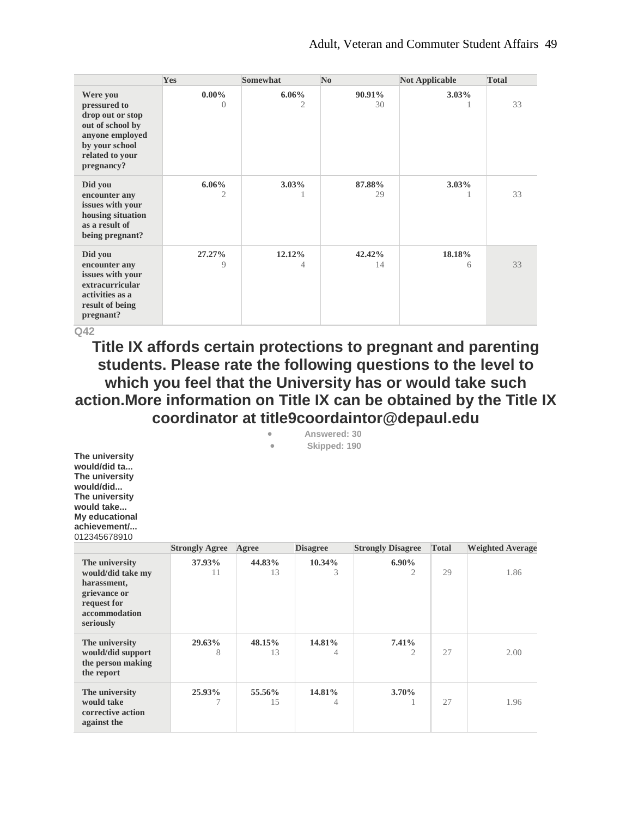|                                                                                                                                        | Yes                  | <b>Somewhat</b> | $\bf No$     | <b>Not Applicable</b> | <b>Total</b> |
|----------------------------------------------------------------------------------------------------------------------------------------|----------------------|-----------------|--------------|-----------------------|--------------|
| Were you<br>pressured to<br>drop out or stop<br>out of school by<br>anyone employed<br>by your school<br>related to your<br>pregnancy? | $0.00\%$<br>$\Omega$ | $6.06\%$<br>2   | 90.91%<br>30 | $3.03\%$              | 33           |
| Did you<br>encounter any<br>issues with your<br>housing situation<br>as a result of<br>being pregnant?                                 | $6.06\%$<br>2        | $3.03\%$<br>1   | 87.88%<br>29 | $3.03\%$              | 33           |
| Did you<br>encounter any<br>issues with your<br>extracurricular<br>activities as a<br>result of being<br>pregnant?                     | 27.27%<br>9          | 12.12%<br>4     | 42.42%<br>14 | 18.18%<br>6           | 33           |

**Title IX affords certain protections to pregnant and parenting students. Please rate the following questions to the level to which you feel that the University has or would take such action.More information on Title IX can be obtained by the Title IX coordinator at title9coordaintor@depaul.edu**

| ۰         | Answered: 30 |  |
|-----------|--------------|--|
| $\bullet$ | Skipped: 190 |  |

**The university would/did ta... The university would/did... The university would take... My educational achievement/...** 012345678910

|                                                                                                                 | <b>Strongly Agree</b> | Agree        | <b>Disagree</b> | <b>Strongly Disagree</b>   | <b>Total</b> | <b>Weighted Average</b> |
|-----------------------------------------------------------------------------------------------------------------|-----------------------|--------------|-----------------|----------------------------|--------------|-------------------------|
| The university<br>would/did take my<br>harassment,<br>grievance or<br>request for<br>accommodation<br>seriously | 37.93%<br>11          | 44.83%<br>13 | $10.34\%$<br>3  | $6.90\%$<br>$\overline{2}$ | 29           | 1.86                    |
| The university<br>would/did support<br>the person making<br>the report                                          | 29.63%<br>8           | 48.15%<br>13 | 14.81%<br>4     | 7.41%<br>2                 | 27           | 2.00                    |
| The university<br>would take<br>corrective action<br>against the                                                | 25.93%<br>7           | 55.56%<br>15 | 14.81%<br>4     | $3.70\%$                   | 27           | 1.96                    |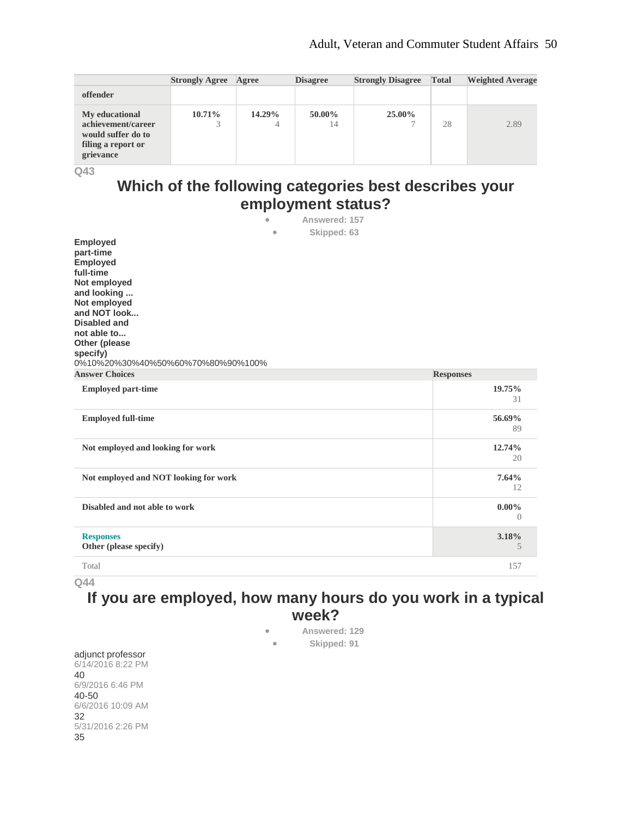|                                                                                               | <b>Strongly Agree</b> | Agree       | <b>Disagree</b> | <b>Strongly Disagree</b> | <b>Total</b> | <b>Weighted Average</b> |
|-----------------------------------------------------------------------------------------------|-----------------------|-------------|-----------------|--------------------------|--------------|-------------------------|
| offender                                                                                      |                       |             |                 |                          |              |                         |
| My educational<br>achievement/career<br>would suffer do to<br>filing a report or<br>grievance | 10.71%                | 14.29%<br>4 | 50.00%<br>14    | 25.00%                   | 28           | 2.89                    |

## **Which of the following categories best describes your employment status?**

| Answered: 157<br>$\bullet$<br>$\bullet$                                                                                                                                                                                                     |                            |
|---------------------------------------------------------------------------------------------------------------------------------------------------------------------------------------------------------------------------------------------|----------------------------|
| Skipped: 63<br>Employed<br>part-time<br><b>Employed</b><br>full-time<br>Not employed<br>and looking<br>Not employed<br>and NOT look<br><b>Disabled and</b><br>not able to<br>Other (please<br>specify)<br>0%10%20%30%40%50%60%70%80%90%100% |                            |
| <b>Answer Choices</b>                                                                                                                                                                                                                       | <b>Responses</b>           |
| <b>Employed part-time</b>                                                                                                                                                                                                                   | 19.75%<br>31               |
| <b>Employed full-time</b>                                                                                                                                                                                                                   | 56.69%<br>89               |
| Not employed and looking for work                                                                                                                                                                                                           | 12.74%<br>20               |
| Not employed and NOT looking for work                                                                                                                                                                                                       | 7.64%<br>12                |
| Disabled and not able to work                                                                                                                                                                                                               | $0.00\%$<br>$\overline{0}$ |
| <b>Responses</b><br>Other (please specify)                                                                                                                                                                                                  | 3.18%<br>5                 |
| Total                                                                                                                                                                                                                                       | 157                        |

**Q44**

## **If you are employed, how many hours do you work in a typical week?**

• **Answered: 129** • **Skipped: 91**

adjunct professor 6/14/2016 8:22 PM 40 6/9/2016 6:46 PM 40-50 6/6/2016 10:09 AM 32 5/31/2016 2:26 PM 35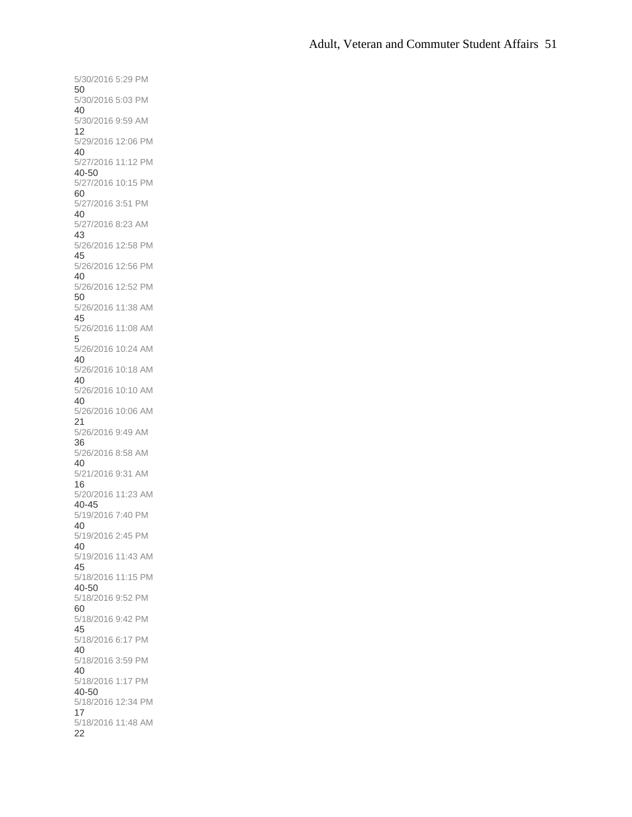5/30/2016 5:29 PM 50 5/30/2016 5:03 PM 40 5/30/2016 9:59 AM 12 5/29/2016 12:06 PM 40 5/27/2016 11:12 PM 40-50 5/27/2016 10:15 PM 60 5/27/2016 3:51 PM 40 5/27/2016 8:23 AM 43 5/26/2016 12:58 PM 45 5/26/2016 12:56 PM 40 5/26/2016 12:52 PM 50 5/26/2016 11:38 AM 45 5/26/2016 11:08 AM 5 5/26/2016 10:24 AM 40 5/26/2016 10:18 AM 40 5/26/2016 10:10 AM 40 5/26/2016 10:06 AM 21 5/26/2016 9:49 AM 36 5/26/2016 8:58 AM 40 5/21/2016 9:31 AM 16 5/20/2016 11:23 AM 40-45 5/19/2016 7:40 PM 40 5/19/2016 2:45 PM 40 5/19/2016 11:43 AM 45 5/18/2016 11:15 PM 40-50 5/18/2016 9:52 PM 60 5/18/2016 9:42 PM 45 5/18/2016 6:17 PM 40 5/18/2016 3:59 PM 40 5/18/2016 1:17 PM 40-50 5/18/2016 12:34 PM 17 5/18/2016 11:48 AM 22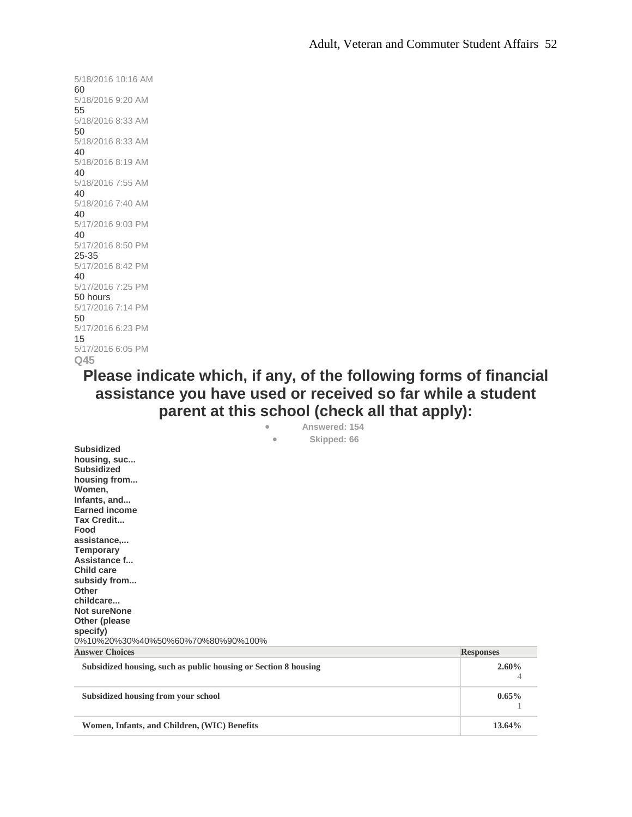5/18/2016 10:16 AM 60 5/18/2016 9:20 AM 55 5/18/2016 8:33 AM 50 5/18/2016 8:33 AM 40 5/18/2016 8:19 AM 40 5/18/2016 7:55 AM 40 5/18/2016 7:40 AM 40 5/17/2016 9:03 PM 40 5/17/2016 8:50 PM 25-35 5/17/2016 8:42 PM 40 5/17/2016 7:25 PM 50 hours 5/17/2016 7:14 PM 50 5/17/2016 6:23 PM 15 5/17/2016 6:05 PM **Q45**

> **Please indicate which, if any, of the following forms of financial assistance you have used or received so far while a student parent at this school (check all that apply):** • **Answered: 154**

| AUSTRUCH IVT                                                    |                  |
|-----------------------------------------------------------------|------------------|
| Skipped: 66<br>$\bullet$                                        |                  |
| <b>Subsidized</b>                                               |                  |
| housing, suc                                                    |                  |
| <b>Subsidized</b>                                               |                  |
| housing from                                                    |                  |
| Women,                                                          |                  |
| Infants, and                                                    |                  |
| <b>Earned income</b>                                            |                  |
| <b>Tax Credit</b>                                               |                  |
| Food                                                            |                  |
| assistance,                                                     |                  |
| <b>Temporary</b>                                                |                  |
| Assistance f                                                    |                  |
| Child care                                                      |                  |
| subsidy from                                                    |                  |
| Other                                                           |                  |
| childcare                                                       |                  |
| <b>Not sureNone</b>                                             |                  |
| Other (please                                                   |                  |
| specify)                                                        |                  |
| 0%10%20%30%40%50%60%70%80%90%100%                               |                  |
| <b>Answer Choices</b>                                           | <b>Responses</b> |
| Subsidized housing, such as public housing or Section 8 housing | 2.60%            |
|                                                                 | 4                |
| Subsidized housing from your school                             | $0.65\%$         |
|                                                                 |                  |

**Women, Infants, and Children, (WIC) Benefits 13.64%**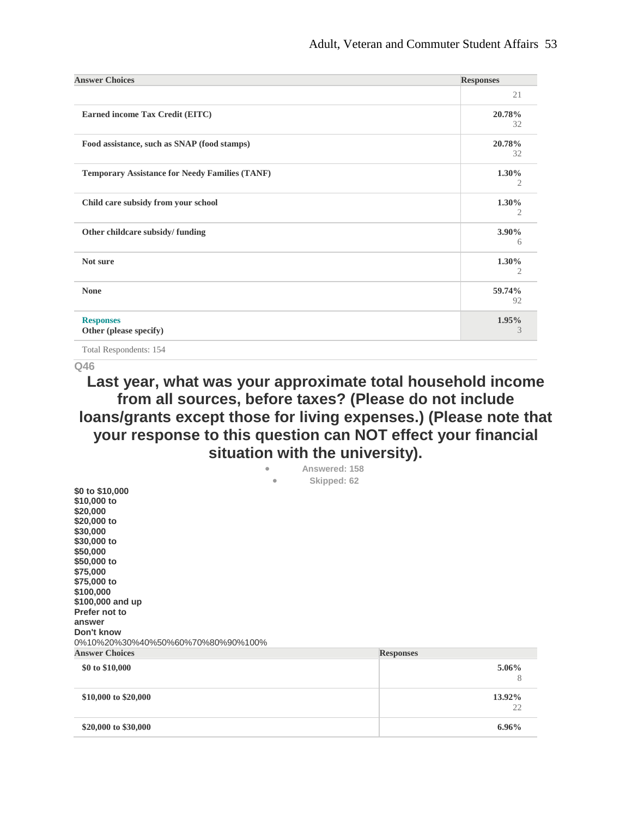| <b>Answer Choices</b>                                 | <b>Responses</b> |
|-------------------------------------------------------|------------------|
|                                                       | 21               |
| Earned income Tax Credit (EITC)                       | 20.78%<br>32     |
| Food assistance, such as SNAP (food stamps)           | 20.78%<br>32     |
| <b>Temporary Assistance for Needy Families (TANF)</b> | $1.30\%$<br>2    |
| Child care subsidy from your school                   | 1.30%<br>2       |
| Other childcare subsidy/funding                       | $3.90\%$<br>6    |
| Not sure                                              | $1.30\%$<br>2    |
| <b>None</b>                                           | 59.74%<br>92     |
| <b>Responses</b><br>Other (please specify)            | 1.95%<br>3       |

Total Respondents: 154

**Q46**

## **Last year, what was your approximate total household income from all sources, before taxes? (Please do not include loans/grants except those for living expenses.) (Please note that your response to this question can NOT effect your financial situation with the university).**

|                                   | $\bullet$ | Answered: 158 |                  |        |
|-----------------------------------|-----------|---------------|------------------|--------|
|                                   | $\bullet$ | Skipped: 62   |                  |        |
| \$0 to \$10,000                   |           |               |                  |        |
| \$10,000 to                       |           |               |                  |        |
| \$20,000                          |           |               |                  |        |
| \$20,000 to                       |           |               |                  |        |
| \$30,000                          |           |               |                  |        |
| \$30,000 to                       |           |               |                  |        |
| \$50,000                          |           |               |                  |        |
| \$50,000 to                       |           |               |                  |        |
| \$75,000                          |           |               |                  |        |
| \$75,000 to                       |           |               |                  |        |
| \$100,000                         |           |               |                  |        |
| \$100,000 and up                  |           |               |                  |        |
| Prefer not to                     |           |               |                  |        |
| answer                            |           |               |                  |        |
| Don't know                        |           |               |                  |        |
| 0%10%20%30%40%50%60%70%80%90%100% |           |               |                  |        |
| <b>Answer Choices</b>             |           |               | <b>Responses</b> |        |
|                                   |           |               |                  |        |
| \$0 to \$10,000                   |           |               |                  | 5.06%  |
|                                   |           |               |                  | 8      |
| \$10,000 to \$20,000              |           |               |                  | 13.92% |
|                                   |           |               |                  | 22     |
| \$20,000 to \$30,000              |           |               |                  | 6.96%  |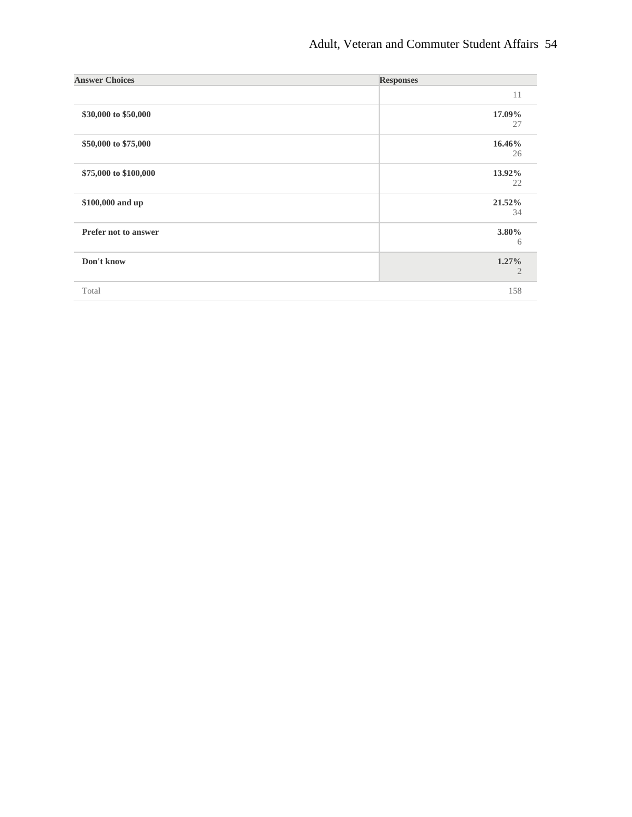| <b>Answer Choices</b> | <b>Responses</b>           |
|-----------------------|----------------------------|
|                       | 11                         |
| \$30,000 to \$50,000  | 17.09%<br>27               |
| \$50,000 to \$75,000  | 16.46%<br>26               |
| \$75,000 to \$100,000 | 13.92%<br>22               |
| \$100,000 and up      | 21.52%<br>34               |
| Prefer not to answer  | 3.80%<br>6                 |
| Don't know            | $1.27\%$<br>$\overline{2}$ |
| Total                 | 158                        |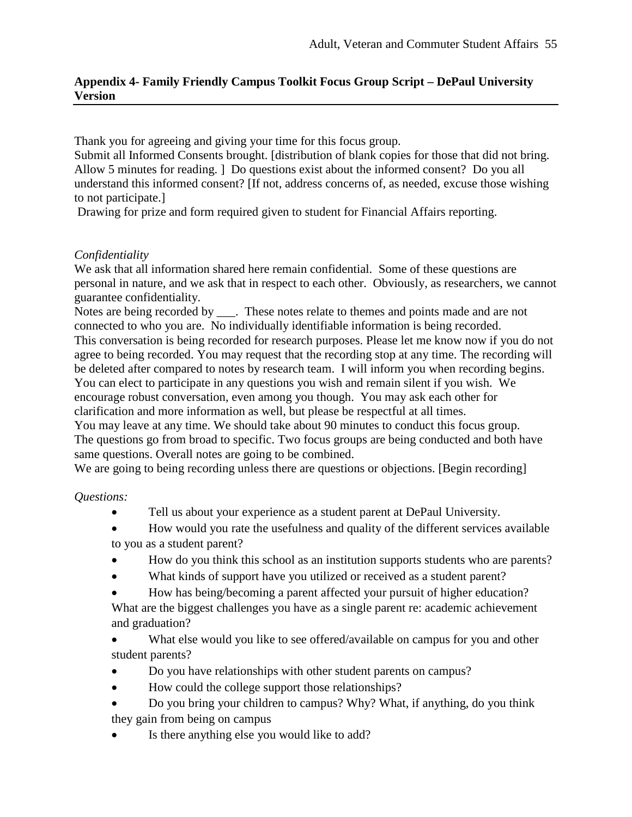### **Appendix 4- Family Friendly Campus Toolkit Focus Group Script – DePaul University Version**

Thank you for agreeing and giving your time for this focus group.

Submit all Informed Consents brought. [distribution of blank copies for those that did not bring. Allow 5 minutes for reading. ] Do questions exist about the informed consent? Do you all understand this informed consent? [If not, address concerns of, as needed, excuse those wishing to not participate.]

Drawing for prize and form required given to student for Financial Affairs reporting.

### *Confidentiality*

We ask that all information shared here remain confidential. Some of these questions are personal in nature, and we ask that in respect to each other. Obviously, as researchers, we cannot guarantee confidentiality.

Notes are being recorded by \_\_\_. These notes relate to themes and points made and are not connected to who you are. No individually identifiable information is being recorded. This conversation is being recorded for research purposes. Please let me know now if you do not agree to being recorded. You may request that the recording stop at any time. The recording will be deleted after compared to notes by research team. I will inform you when recording begins. You can elect to participate in any questions you wish and remain silent if you wish. We encourage robust conversation, even among you though. You may ask each other for clarification and more information as well, but please be respectful at all times.

You may leave at any time. We should take about 90 minutes to conduct this focus group. The questions go from broad to specific. Two focus groups are being conducted and both have same questions. Overall notes are going to be combined.

We are going to being recording unless there are questions or objections. [Begin recording]

*Questions:* 

- Tell us about your experience as a student parent at DePaul University.
- How would you rate the usefulness and quality of the different services available to you as a student parent?
- How do you think this school as an institution supports students who are parents?
- What kinds of support have you utilized or received as a student parent?
- How has being/becoming a parent affected your pursuit of higher education? What are the biggest challenges you have as a single parent re: academic achievement
- and graduation?
- What else would you like to see offered/available on campus for you and other student parents?
- Do you have relationships with other student parents on campus?
- How could the college support those relationships?
- Do you bring your children to campus? Why? What, if anything, do you think they gain from being on campus
- Is there anything else you would like to add?